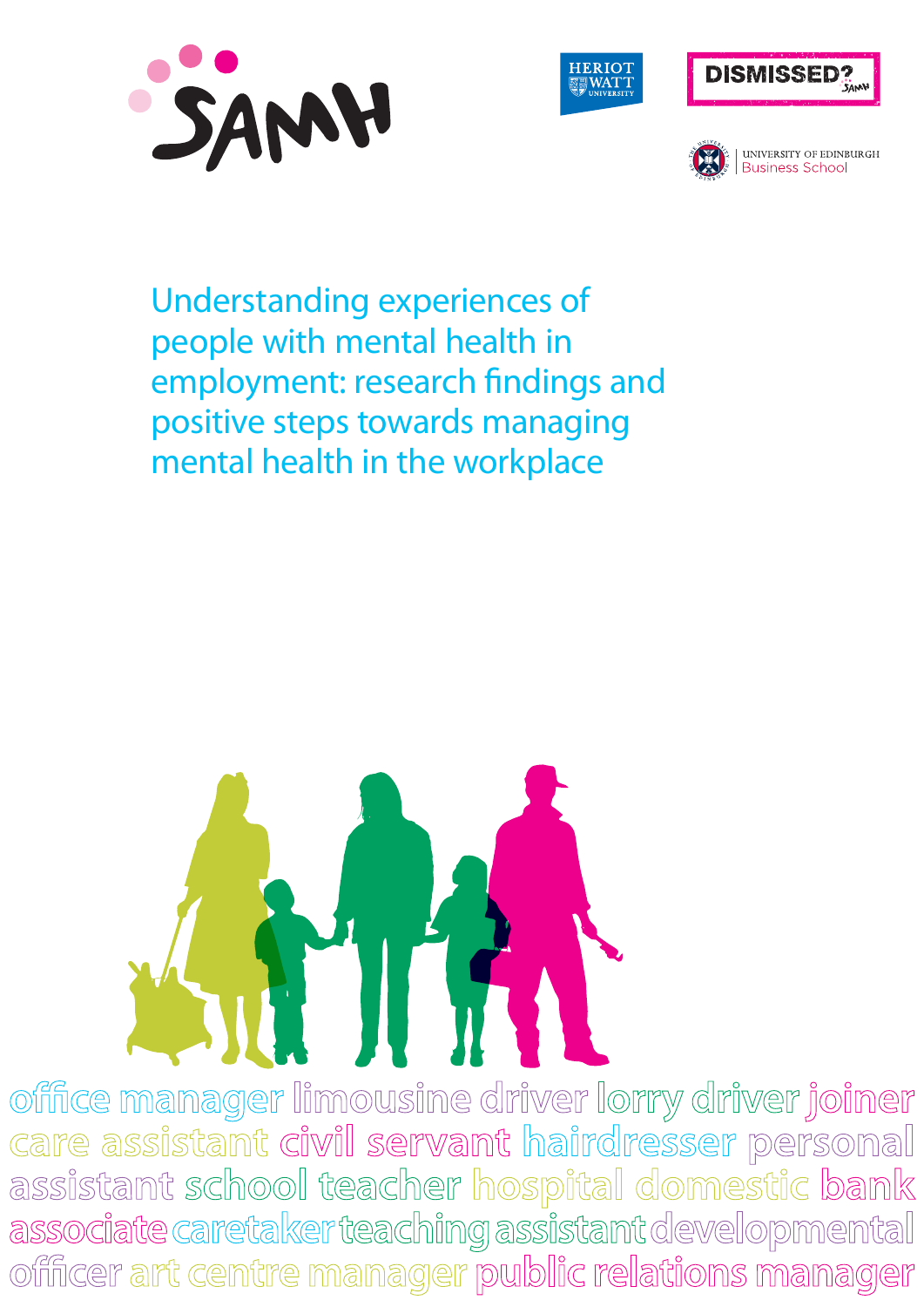







**UNIVERSITY OF EDINBURGH** Business School

Understanding experiences of people with mental health in employment: research findings and positive steps towards managing mental health in the workplace



office manager limousine driver lorry driver joiner **care assistant civil servant hairdresser personal assistant school teacher hospital domestic bank**  associate caretaker teaching assistant developmental **officer art centre manager public relations manager**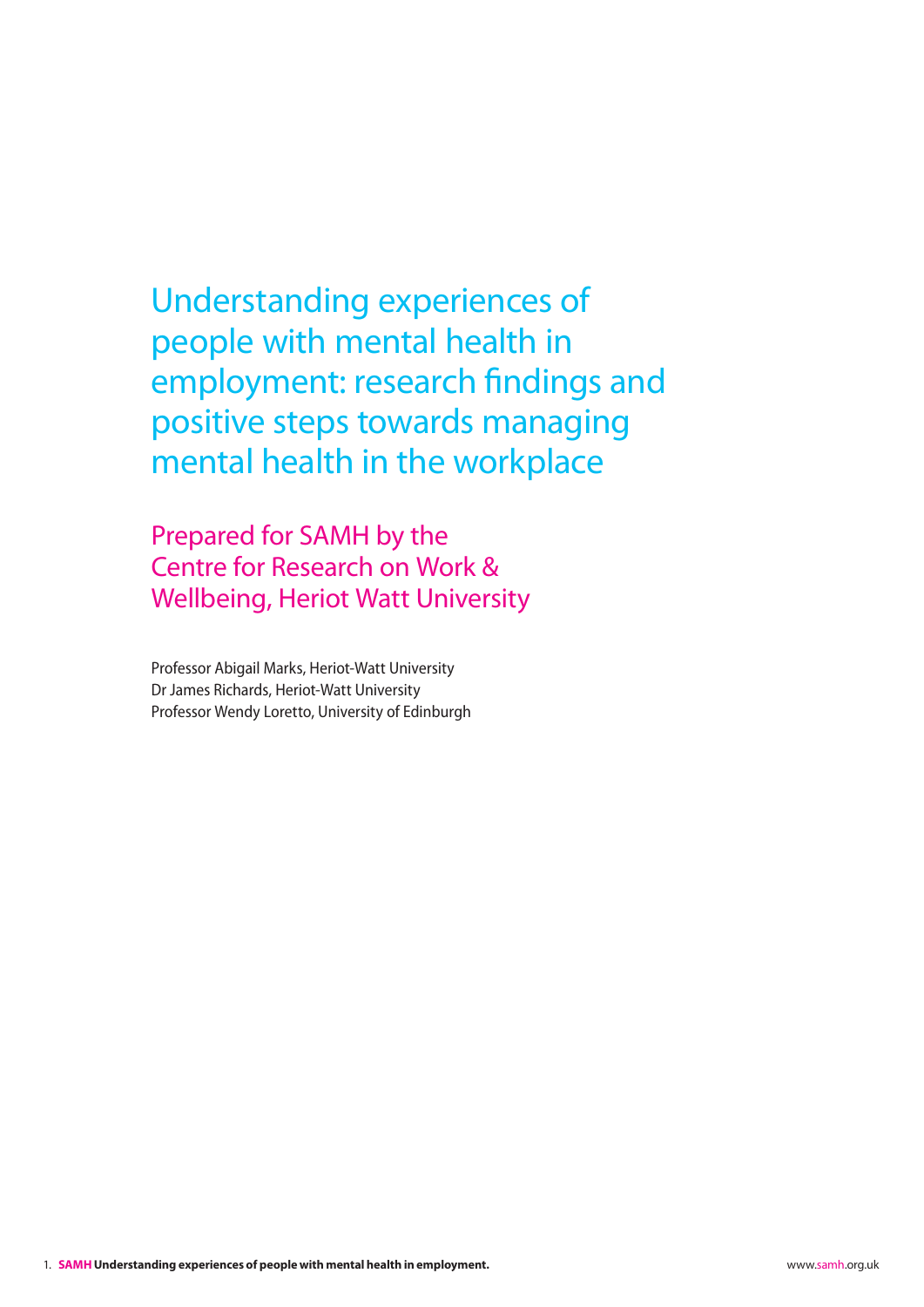Understanding experiences of people with mental health in employment: research findings and positive steps towards managing mental health in the workplace

Prepared for SAMH by the Centre for Research on Work & Wellbeing, Heriot Watt University

Professor Abigail Marks, Heriot-Watt University Dr James Richards, Heriot-Watt University Professor Wendy Loretto, University of Edinburgh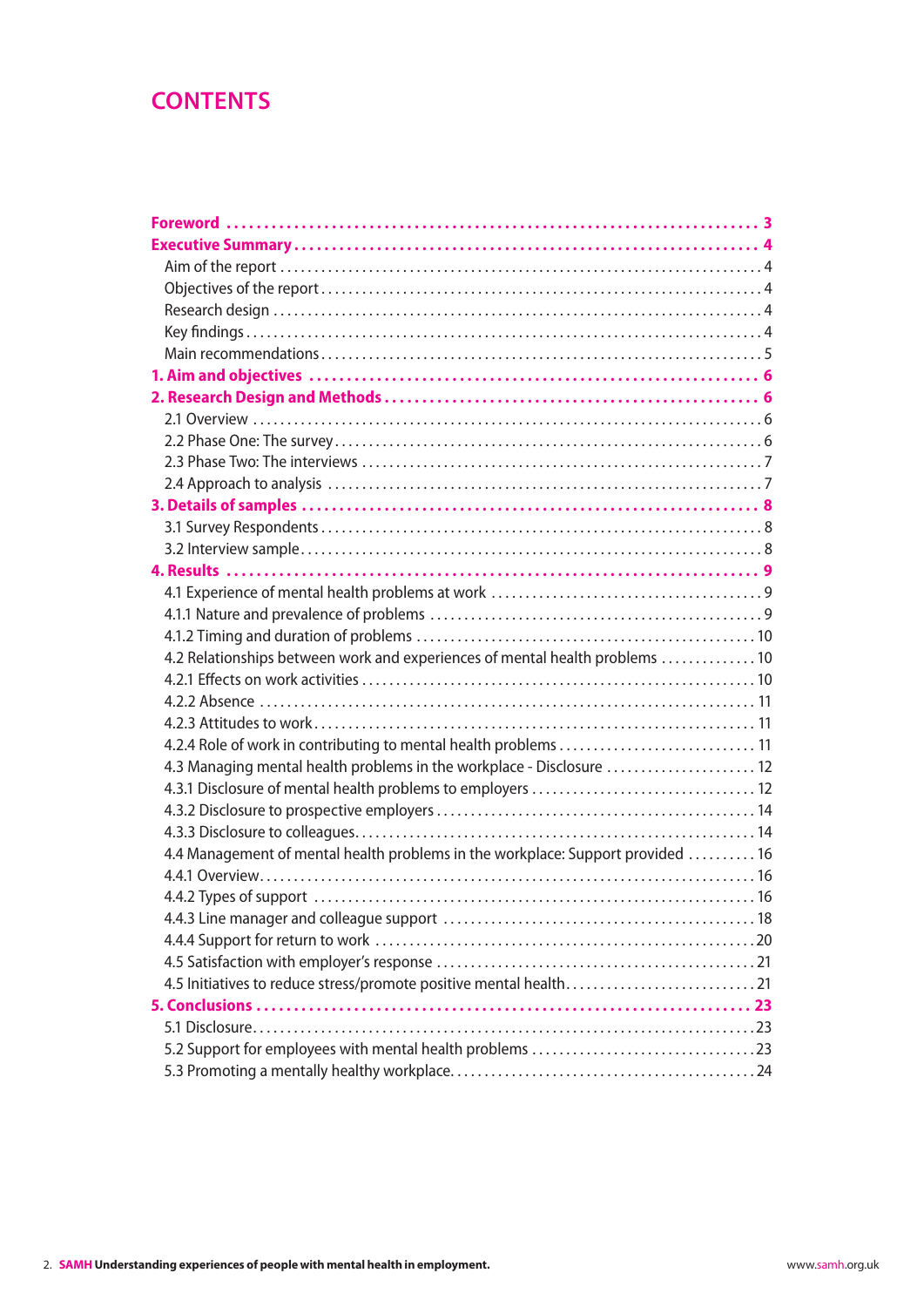## **CONTENTS**

| 4.2 Relationships between work and experiences of mental health problems  10    |  |
|---------------------------------------------------------------------------------|--|
|                                                                                 |  |
|                                                                                 |  |
|                                                                                 |  |
|                                                                                 |  |
| 4.3 Managing mental health problems in the workplace - Disclosure  12           |  |
|                                                                                 |  |
|                                                                                 |  |
|                                                                                 |  |
| 4.4 Management of mental health problems in the workplace: Support provided  16 |  |
|                                                                                 |  |
|                                                                                 |  |
|                                                                                 |  |
|                                                                                 |  |
|                                                                                 |  |
|                                                                                 |  |
|                                                                                 |  |
|                                                                                 |  |
|                                                                                 |  |
|                                                                                 |  |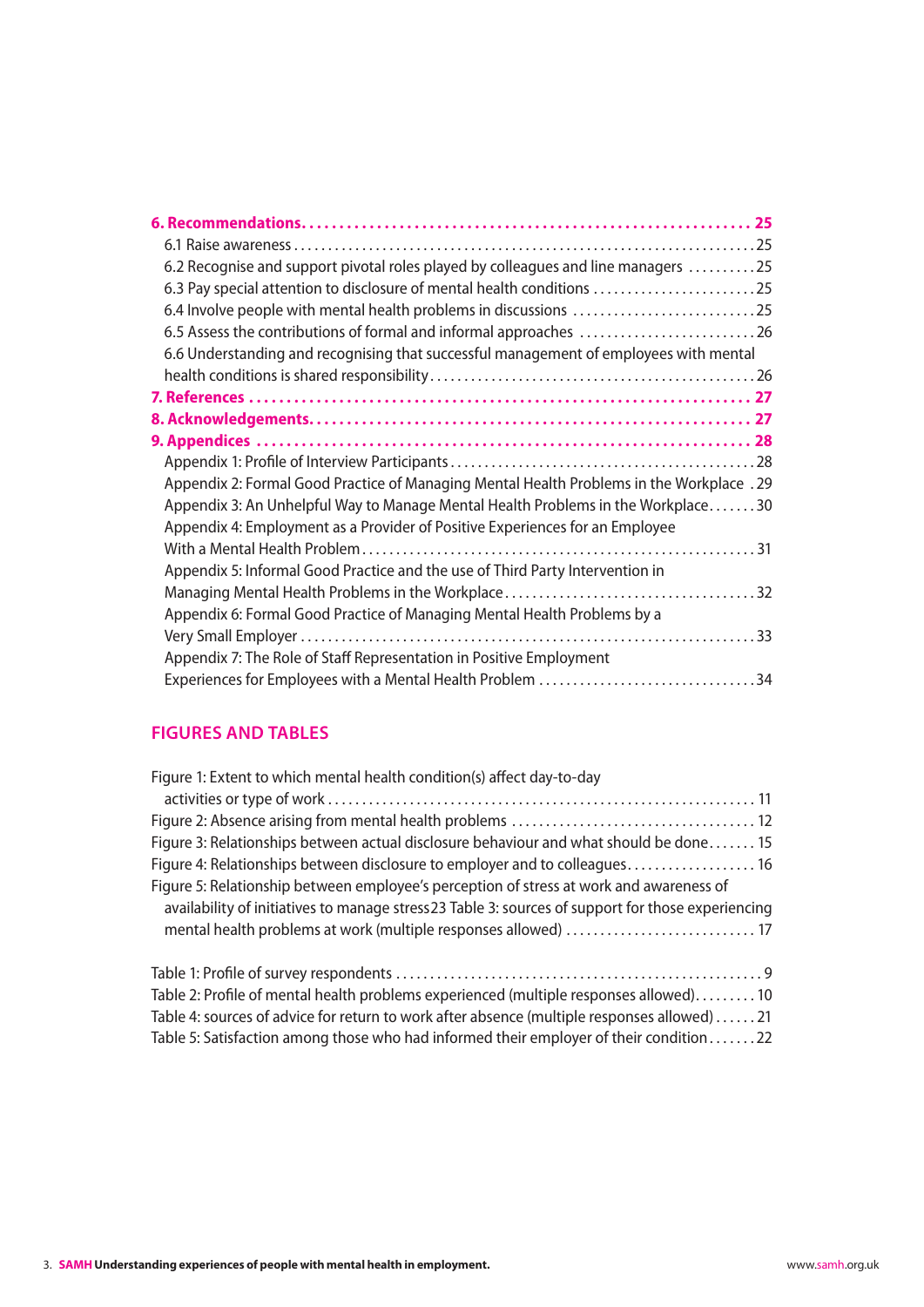| 6.2 Recognise and support pivotal roles played by colleagues and line managers 25                                                                                |  |
|------------------------------------------------------------------------------------------------------------------------------------------------------------------|--|
| 6.3 Pay special attention to disclosure of mental health conditions 25                                                                                           |  |
|                                                                                                                                                                  |  |
| 6.5 Assess the contributions of formal and informal approaches 26                                                                                                |  |
| 6.6 Understanding and recognising that successful management of employees with mental                                                                            |  |
|                                                                                                                                                                  |  |
|                                                                                                                                                                  |  |
|                                                                                                                                                                  |  |
|                                                                                                                                                                  |  |
|                                                                                                                                                                  |  |
| Appendix 2: Formal Good Practice of Managing Mental Health Problems in the Workplace .29                                                                         |  |
| Appendix 3: An Unhelpful Way to Manage Mental Health Problems in the Workplace30<br>Appendix 4: Employment as a Provider of Positive Experiences for an Employee |  |
|                                                                                                                                                                  |  |
| Appendix 5: Informal Good Practice and the use of Third Party Intervention in                                                                                    |  |
|                                                                                                                                                                  |  |
| Appendix 6: Formal Good Practice of Managing Mental Health Problems by a                                                                                         |  |
|                                                                                                                                                                  |  |
| Appendix 7: The Role of Staff Representation in Positive Employment                                                                                              |  |
| Experiences for Employees with a Mental Health Problem 34                                                                                                        |  |

## **FIGURES AND TABLES**

| Figure 1: Extent to which mental health condition(s) affect day-to-day                            |
|---------------------------------------------------------------------------------------------------|
|                                                                                                   |
|                                                                                                   |
| Figure 3: Relationships between actual disclosure behaviour and what should be done 15            |
| Figure 4: Relationships between disclosure to employer and to colleagues 16                       |
| Figure 5: Relationship between employee's perception of stress at work and awareness of           |
| availability of initiatives to manage stress23 Table 3: sources of support for those experiencing |
| mental health problems at work (multiple responses allowed)  17                                   |
|                                                                                                   |
| Table 2: Profile of mental health problems experienced (multiple responses allowed) 10            |
| Table 4: sources of advice for return to work after absence (multiple responses allowed) 21       |
| Table 5: Satisfaction among those who had informed their employer of their condition22            |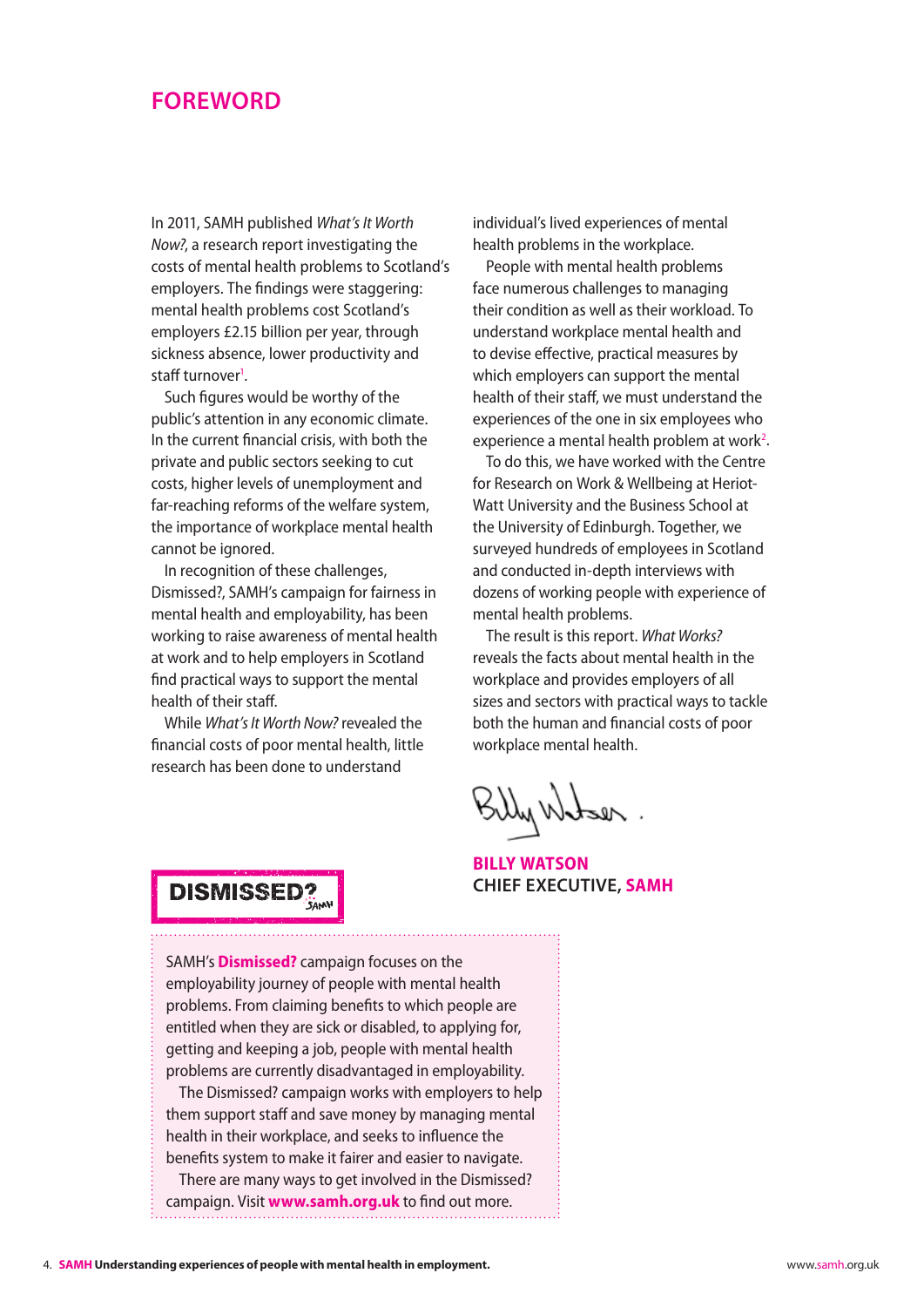### <span id="page-4-0"></span>**Foreword**

In 2011, SAMH published *What's It Worth Now?*, a research report investigating the costs of mental health problems to Scotland's employers. The findings were staggering: mental health problems cost Scotland's employers £2.15 billion per year, through sickness absence, lower productivity and staff turnover<sup>1</sup>.

Such figures would be worthy of the public's attention in any economic climate. In the current financial crisis, with both the private and public sectors seeking to cut costs, higher levels of unemployment and far-reaching reforms of the welfare system, the importance of workplace mental health cannot be ignored.

In recognition of these challenges, Dismissed?, SAMH's campaign for fairness in mental health and employability, has been working to raise awareness of mental health at work and to help employers in Scotland find practical ways to support the mental health of their staff.

While *What's It Worth Now?* revealed the financial costs of poor mental health, little research has been done to understand

individual's lived experiences of mental health problems in the workplace.

People with mental health problems face numerous challenges to managing their condition as well as their workload. To understand workplace mental health and to devise effective, practical measures by which employers can support the mental health of their staff, we must understand the experiences of the one in six employees who experience a mental health problem at work<sup>2</sup>.

To do this, we have worked with the Centre for Research on Work & Wellbeing at Heriot-Watt University and the Business School at the University of Edinburgh. Together, we surveyed hundreds of employees in Scotland and conducted in-depth interviews with dozens of working people with experience of mental health problems.

The result is this report. *What Works?* reveals the facts about mental health in the workplace and provides employers of all sizes and sectors with practical ways to tackle both the human and financial costs of poor workplace mental health.

Billy Watser.

**BILLY WATSON Chief Executive, SAMH**

# **DISMISSED?**

SAMH's **Dismissed?** campaign focuses on the employability journey of people with mental health problems. From claiming benefits to which people are entitled when they are sick or disabled, to applying for, getting and keeping a job, people with mental health problems are currently disadvantaged in employability.

The Dismissed? campaign works with employers to help them support staff and save money by managing mental health in their workplace, and seeks to influence the benefits system to make it fairer and easier to navigate.

There are many ways to get involved in the Dismissed? campaign. Visit **www.samh.org.uk** to find out more.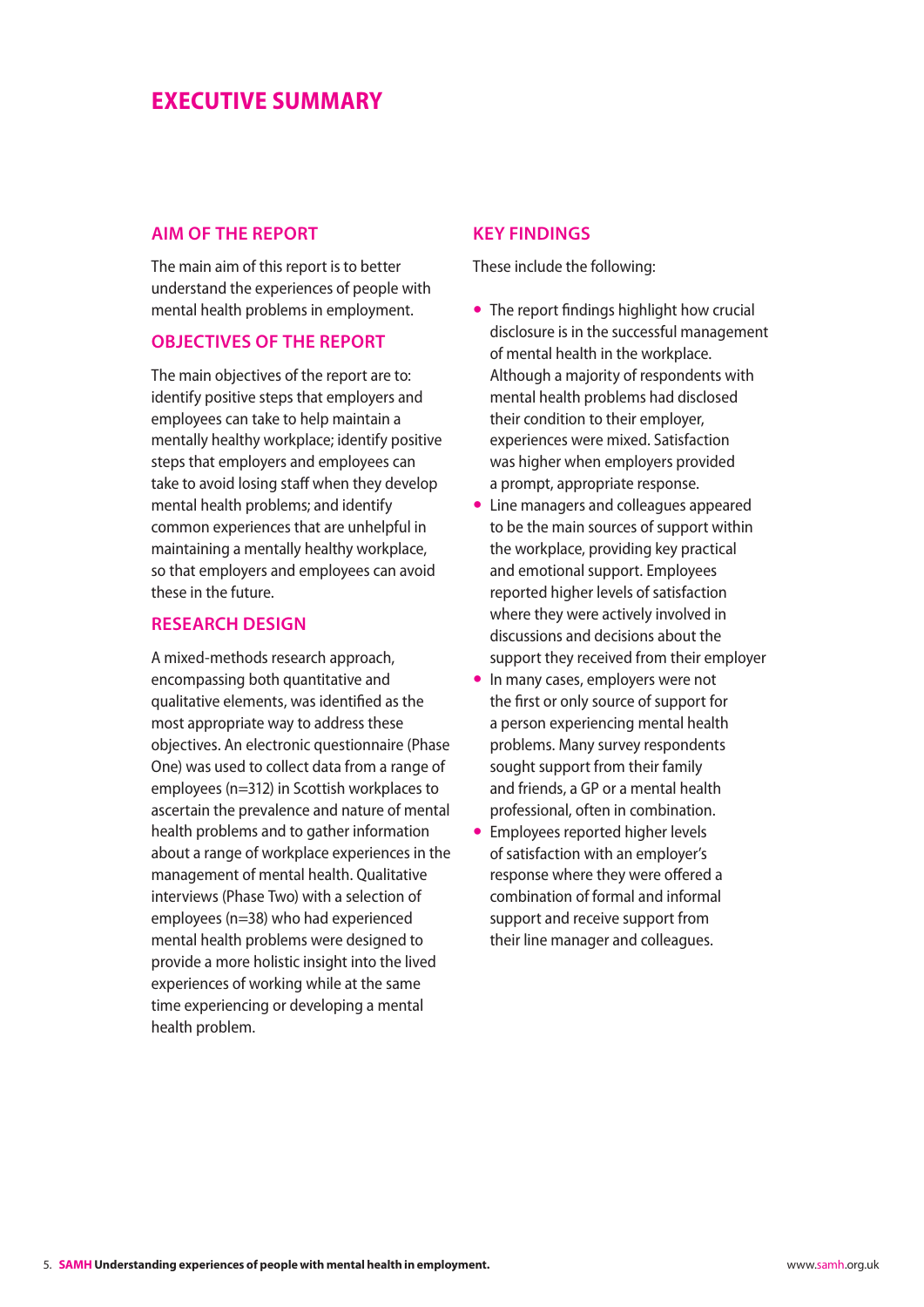### <span id="page-5-0"></span>**Executive Summary**

#### **Aim of the report**

The main aim of this report is to better understand the experiences of people with mental health problems in employment.

#### **Objectives of the report**

The main objectives of the report are to: identify positive steps that employers and employees can take to help maintain a mentally healthy workplace; identify positive steps that employers and employees can take to avoid losing staff when they develop mental health problems; and identify common experiences that are unhelpful in maintaining a mentally healthy workplace, so that employers and employees can avoid these in the future.

#### **Research design**

A mixed-methods research approach, encompassing both quantitative and qualitative elements, was identified as the most appropriate way to address these objectives. An electronic questionnaire (Phase One) was used to collect data from a range of employees (n=312) in Scottish workplaces to ascertain the prevalence and nature of mental health problems and to gather information about a range of workplace experiences in the management of mental health. Qualitative interviews (Phase Two) with a selection of employees (n=38) who had experienced mental health problems were designed to provide a more holistic insight into the lived experiences of working while at the same time experiencing or developing a mental health problem.

#### **Key findings**

These include the following:

- The report findings highlight how crucial disclosure is in the successful management of mental health in the workplace. Although a majority of respondents with mental health problems had disclosed their condition to their employer, experiences were mixed. Satisfaction was higher when employers provided a prompt, appropriate response.
- Line managers and colleagues appeared to be the main sources of support within the workplace, providing key practical and emotional support. Employees reported higher levels of satisfaction where they were actively involved in discussions and decisions about the support they received from their employer
- In many cases, employers were not the first or only source of support for a person experiencing mental health problems. Many survey respondents sought support from their family and friends, a GP or a mental health professional, often in combination.
- Employees reported higher levels of satisfaction with an employer's response where they were offered a combination of formal and informal support and receive support from their line manager and colleagues.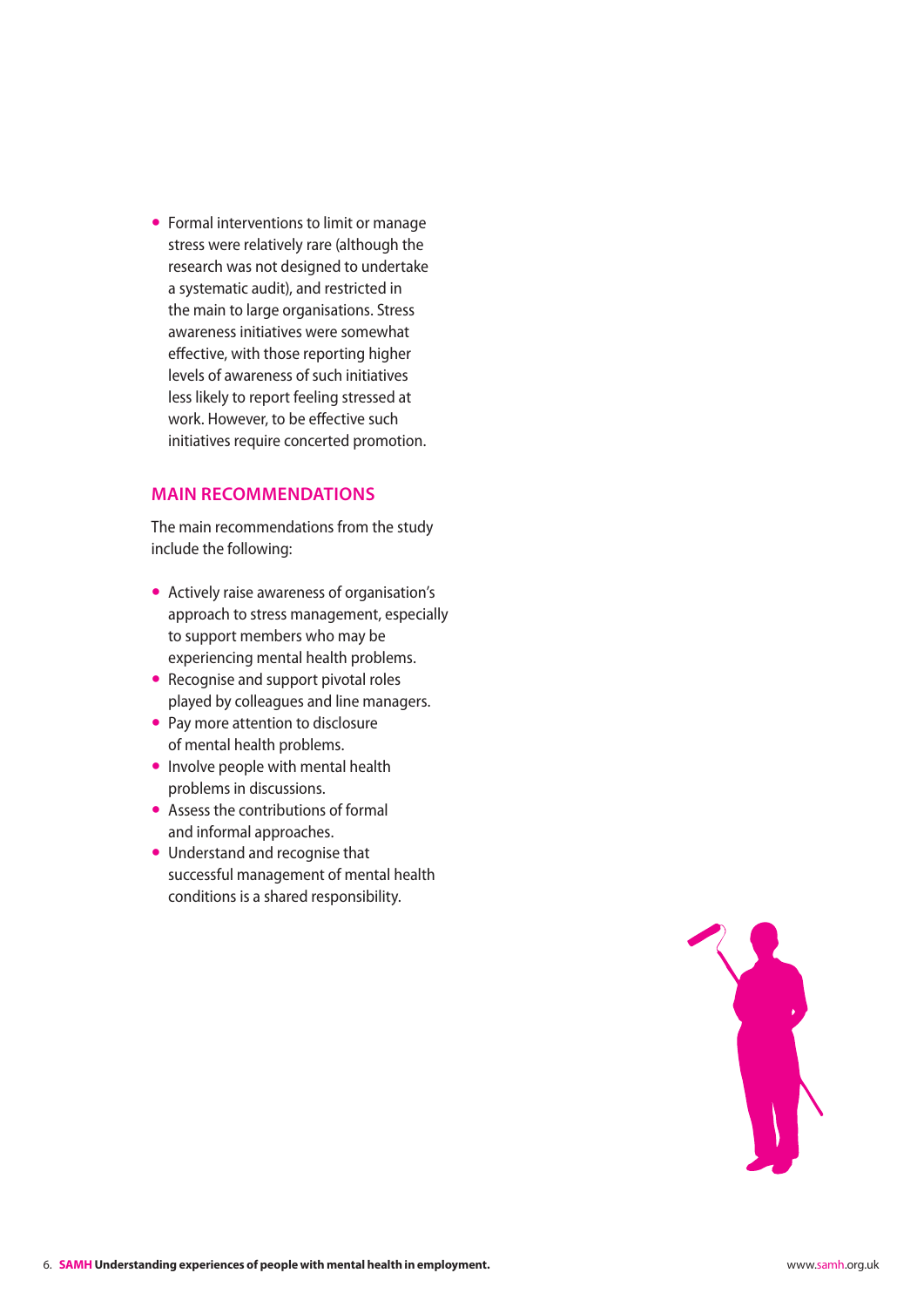<span id="page-6-0"></span>• Formal interventions to limit or manage stress were relatively rare (although the research was not designed to undertake a systematic audit), and restricted in the main to large organisations. Stress awareness initiatives were somewhat effective, with those reporting higher levels of awareness of such initiatives less likely to report feeling stressed at work. However, to be effective such initiatives require concerted promotion.

#### **Main recommendations**

The main recommendations from the study include the following:

- Actively raise awareness of organisation's approach to stress management, especially to support members who may be experiencing mental health problems.
- Recognise and support pivotal roles played by colleagues and line managers.
- Pay more attention to disclosure of mental health problems.
- $\bullet$  Involve people with mental health problems in discussions.
- $\bullet$  Assess the contributions of formal and informal approaches.
- Understand and recognise that successful management of mental health conditions is a shared responsibility.

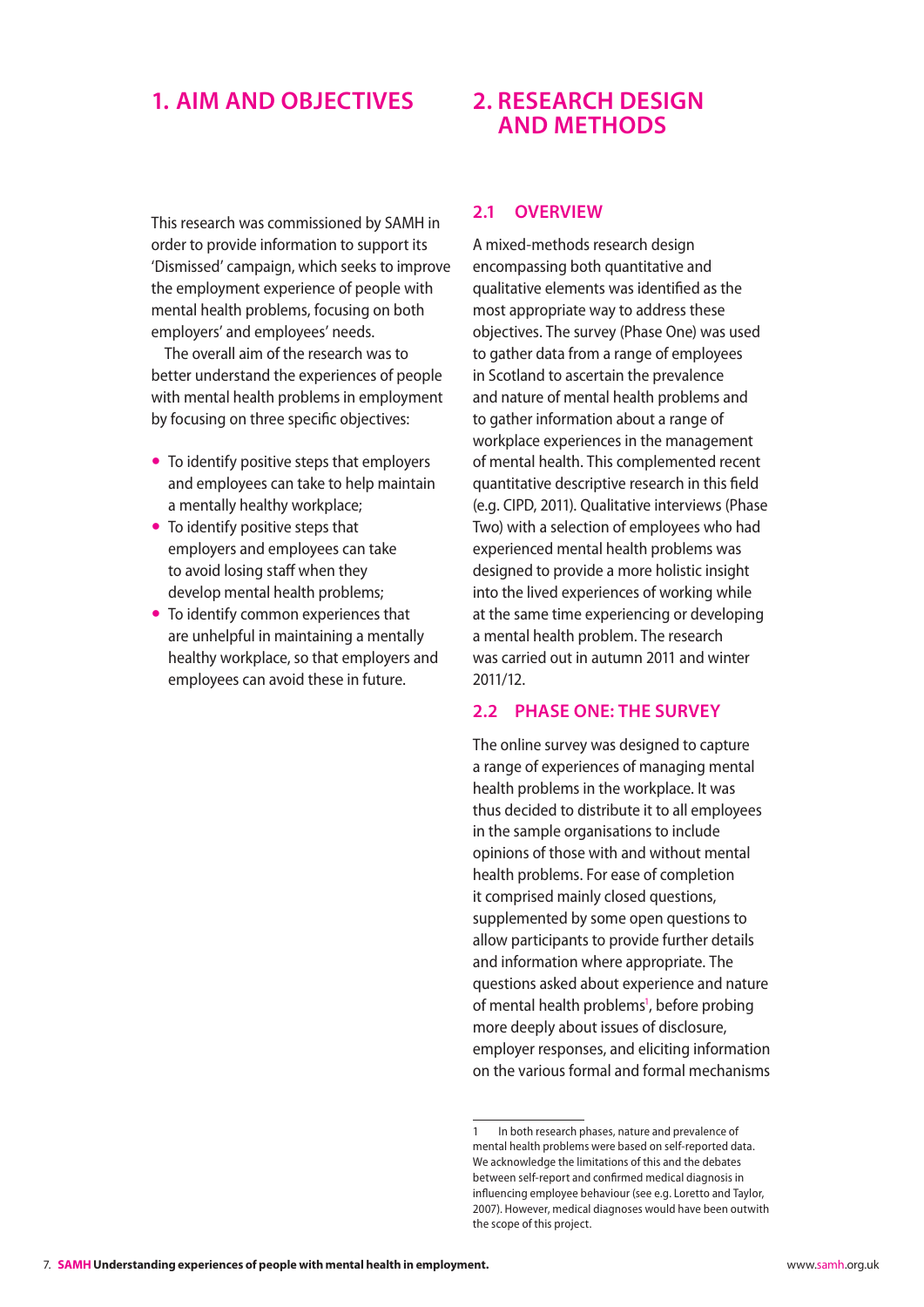### <span id="page-7-0"></span>**1. Aim and objectives**

This research was commissioned by SAMH in order to provide information to support its 'Dismissed' campaign, which seeks to improve the employment experience of people with mental health problems, focusing on both employers' and employees' needs.

The overall aim of the research was to better understand the experiences of people with mental health problems in employment by focusing on three specific objectives:

- To identify positive steps that employers and employees can take to help maintain a mentally healthy workplace;
- $\bullet$  To identify positive steps that employers and employees can take to avoid losing staff when they develop mental health problems;
- To identify common experiences that are unhelpful in maintaining a mentally healthy workplace, so that employers and employees can avoid these in future.

### **2. Research Design and Methods**

#### **2.1 Overview**

A mixed-methods research design encompassing both quantitative and qualitative elements was identified as the most appropriate way to address these objectives. The survey (Phase One) was used to gather data from a range of employees in Scotland to ascertain the prevalence and nature of mental health problems and to gather information about a range of workplace experiences in the management of mental health. This complemented recent quantitative descriptive research in this field (e.g. CIPD, 2011). Qualitative interviews (Phase Two) with a selection of employees who had experienced mental health problems was designed to provide a more holistic insight into the lived experiences of working while at the same time experiencing or developing a mental health problem. The research was carried out in autumn 2011 and winter 2011/12.

#### **2.2 Phase One: The survey**

The online survey was designed to capture a range of experiences of managing mental health problems in the workplace. It was thus decided to distribute it to all employees in the sample organisations to include opinions of those with and without mental health problems. For ease of completion it comprised mainly closed questions, supplemented by some open questions to allow participants to provide further details and information where appropriate. The questions asked about experience and nature of mental health problems<sup>1</sup>, before probing more deeply about issues of disclosure, employer responses, and eliciting information on the various formal and formal mechanisms

<sup>1</sup> In both research phases, nature and prevalence of mental health problems were based on self-reported data. We acknowledge the limitations of this and the debates between self-report and confirmed medical diagnosis in influencing employee behaviour (see e.g. Loretto and Taylor, 2007). However, medical diagnoses would have been outwith the scope of this project.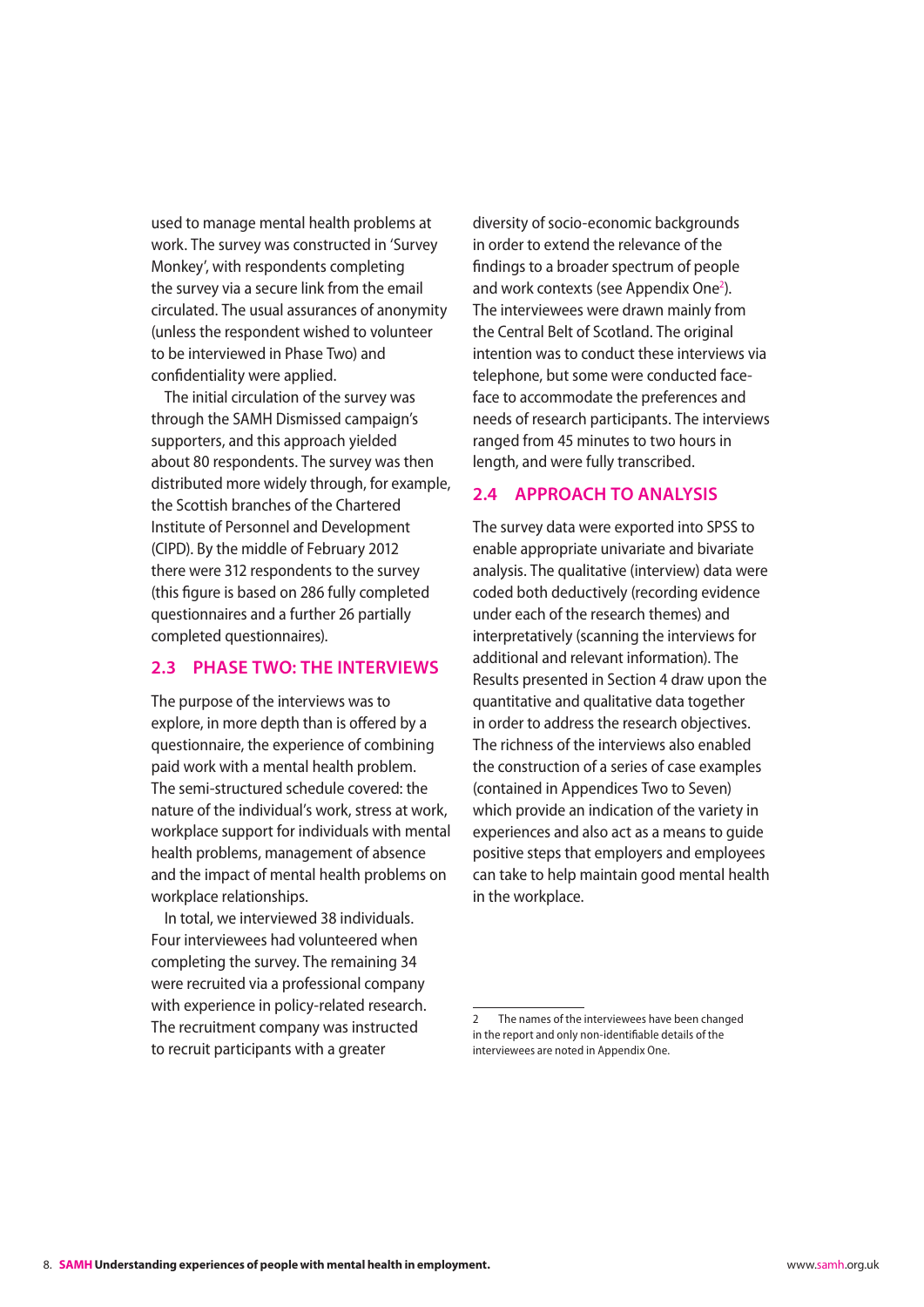<span id="page-8-0"></span>used to manage mental health problems at work. The survey was constructed in 'Survey Monkey', with respondents completing the survey via a secure link from the email circulated. The usual assurances of anonymity (unless the respondent wished to volunteer to be interviewed in Phase Two) and confidentiality were applied.

The initial circulation of the survey was through the SAMH Dismissed campaign's supporters, and this approach yielded about 80 respondents. The survey was then distributed more widely through, for example, the Scottish branches of the Chartered Institute of Personnel and Development (CIPD). By the middle of February 2012 there were 312 respondents to the survey (this figure is based on 286 fully completed questionnaires and a further 26 partially completed questionnaires).

#### **2.3 Phase Two: The interviews**

The purpose of the interviews was to explore, in more depth than is offered by a questionnaire, the experience of combining paid work with a mental health problem. The semi-structured schedule covered: the nature of the individual's work, stress at work, workplace support for individuals with mental health problems, management of absence and the impact of mental health problems on workplace relationships.

In total, we interviewed 38 individuals. Four interviewees had volunteered when completing the survey. The remaining 34 were recruited via a professional company with experience in policy-related research. The recruitment company was instructed to recruit participants with a greater

diversity of socio-economic backgrounds in order to extend the relevance of the findings to a broader spectrum of people and work contexts (see Appendix One<sup>2</sup>). The interviewees were drawn mainly from the Central Belt of Scotland. The original intention was to conduct these interviews via telephone, but some were conducted faceface to accommodate the preferences and needs of research participants. The interviews ranged from 45 minutes to two hours in length, and were fully transcribed.

#### **2.4 Approach to analysis**

The survey data were exported into SPSS to enable appropriate univariate and bivariate analysis. The qualitative (interview) data were coded both deductively (recording evidence under each of the research themes) and interpretatively (scanning the interviews for additional and relevant information). The Results presented in Section 4 draw upon the quantitative and qualitative data together in order to address the research objectives. The richness of the interviews also enabled the construction of a series of case examples (contained in Appendices Two to Seven) which provide an indication of the variety in experiences and also act as a means to guide positive steps that employers and employees can take to help maintain good mental health in the workplace.

The names of the interviewees have been changed in the report and only non-identifiable details of the interviewees are noted in Appendix One.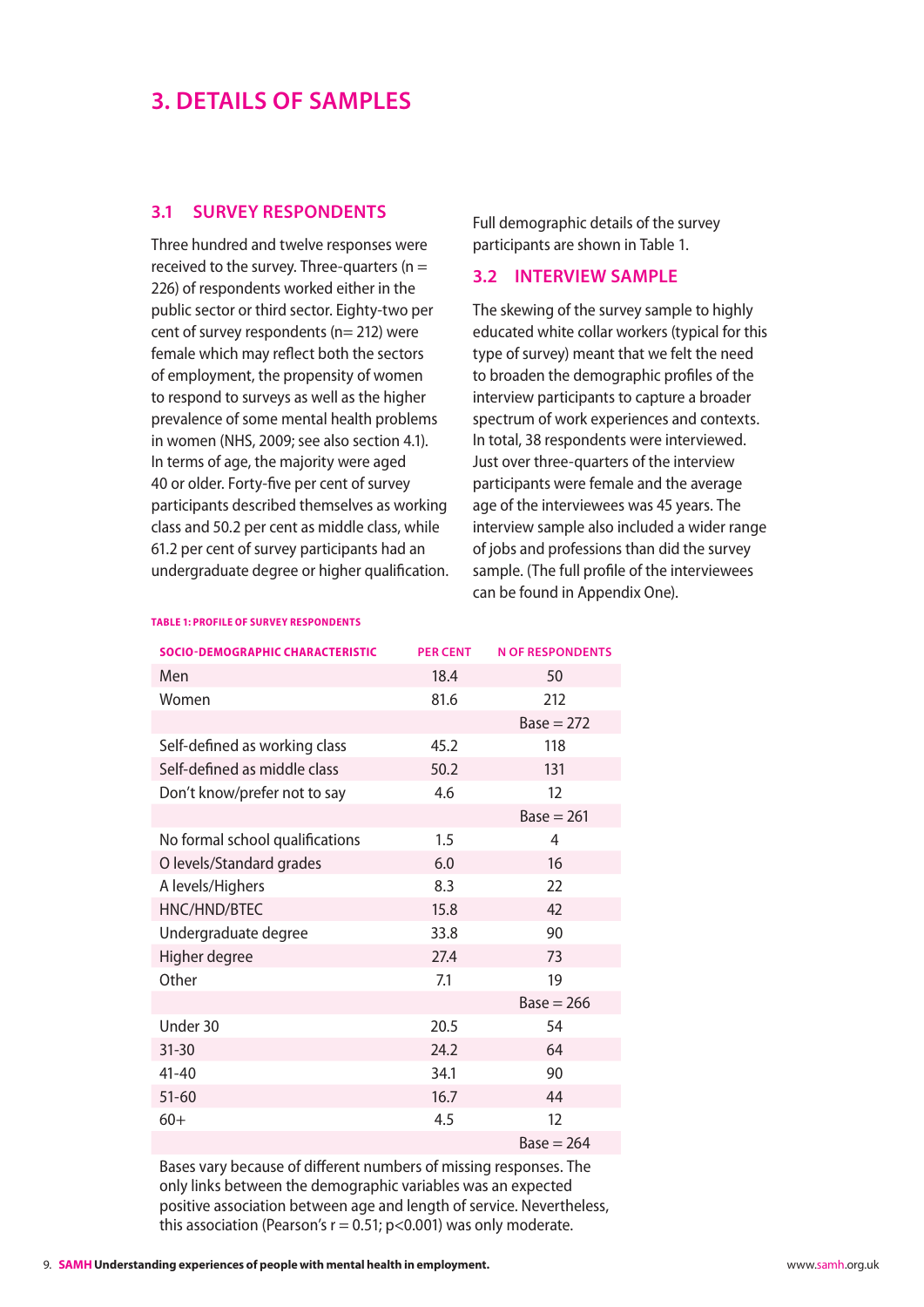## <span id="page-9-0"></span>**3. Details of samples**

#### **3.1 Survey Respondents**

Three hundred and twelve responses were received to the survey. Three-quarters ( $n =$ 226) of respondents worked either in the public sector or third sector. Eighty-two per cent of survey respondents ( $n= 212$ ) were female which may reflect both the sectors of employment, the propensity of women to respond to surveys as well as the higher prevalence of some mental health problems in women (NHS, 2009; see also section 4.1). In terms of age, the majority were aged 40 or older. Forty-five per cent of survey participants described themselves as working class and 50.2 per cent as middle class, while 61.2 per cent of survey participants had an undergraduate degree or higher qualification. Full demographic details of the survey participants are shown in Table 1.

#### **3.2 Interview sample**

The skewing of the survey sample to highly educated white collar workers (typical for this type of survey) meant that we felt the need to broaden the demographic profiles of the interview participants to capture a broader spectrum of work experiences and contexts. In total, 38 respondents were interviewed. Just over three-quarters of the interview participants were female and the average age of the interviewees was 45 years. The interview sample also included a wider range of jobs and professions than did the survey sample. (The full profile of the interviewees can be found in Appendix One).

| <b>SOCIO-DEMOGRAPHIC CHARACTERISTIC</b> | <b>PER CENT</b> | <b>N OF RESPONDENTS</b> |
|-----------------------------------------|-----------------|-------------------------|
| Men                                     | 18.4            | 50                      |
| Women                                   | 81.6            | 212                     |
|                                         |                 | $Base = 272$            |
| Self-defined as working class           | 45.2            | 118                     |
| Self-defined as middle class            | 50.2            | 131                     |
| Don't know/prefer not to say            | 4.6             | 12                      |
|                                         |                 | $Base = 261$            |
| No formal school qualifications         | 1.5             | 4                       |
| O levels/Standard grades                | 6.0             | 16                      |
| A levels/Highers                        | 8.3             | 22                      |
| HNC/HND/BTEC                            | 15.8            | 42                      |
| Undergraduate degree                    | 33.8            | 90                      |
| Higher degree                           | 27.4            | 73                      |
| Other                                   | 7.1             | 19                      |
|                                         |                 | $Base = 266$            |
| Under 30                                | 20.5            | 54                      |
| $31 - 30$                               | 24.2            | 64                      |
| $41 - 40$                               | 34.1            | 90                      |
| $51 - 60$                               | 16.7            | 44                      |
| $60+$                                   | 4.5             | 12                      |
|                                         |                 | $Base = 264$            |

#### Bases vary because of different numbers of missing responses. The only links between the demographic variables was an expected positive association between age and length of service. Nevertheless, this association (Pearson's  $r = 0.51$ ; p<0.001) was only moderate.

#### **Table 1: Profile of survey respondents**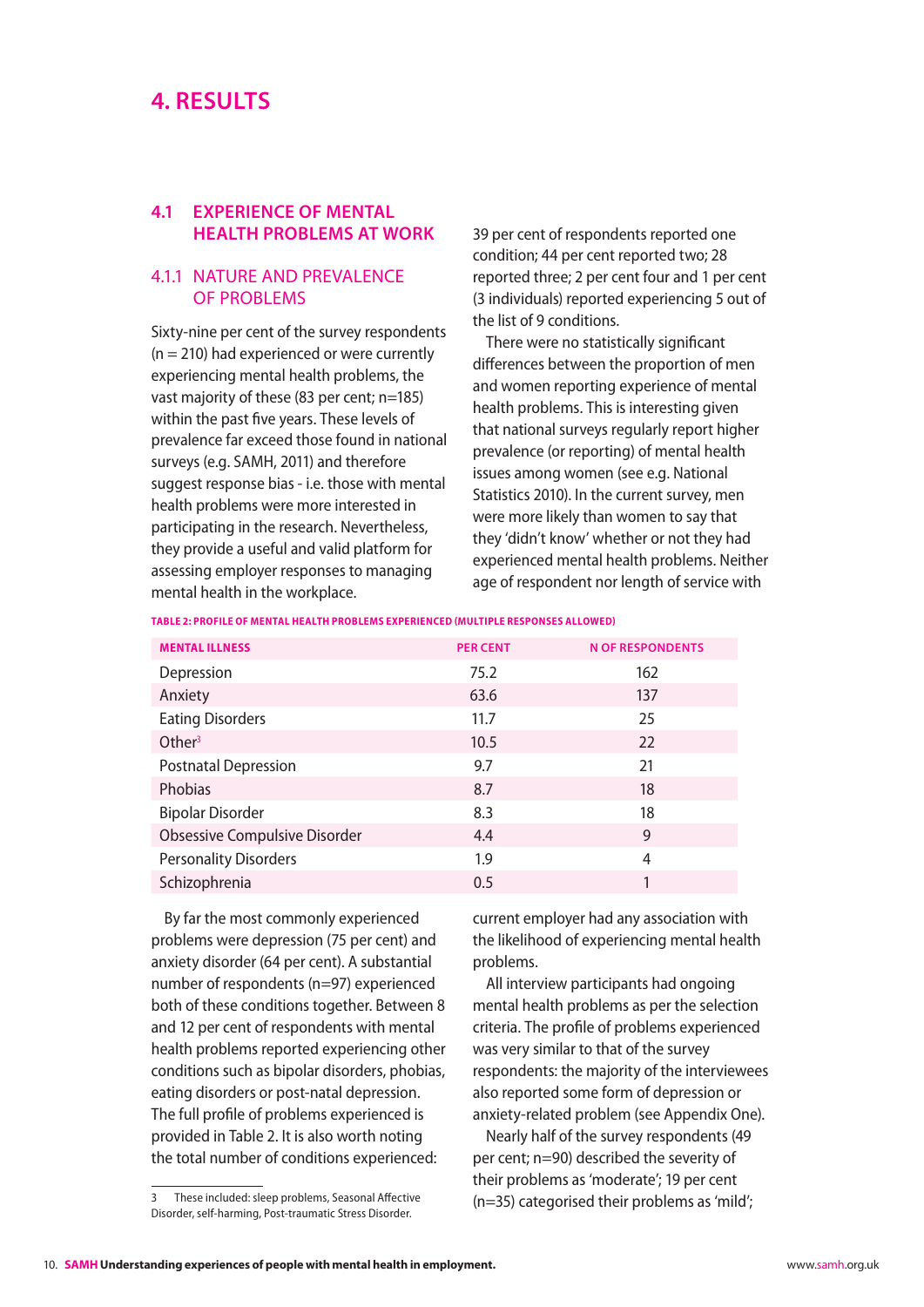### <span id="page-10-0"></span>**4. Results**

#### **4.1 Experience of mental health problems at work**

#### 4.1.1 Nature and prevalence of problems

Sixty-nine per cent of the survey respondents  $(n = 210)$  had experienced or were currently experiencing mental health problems, the vast majority of these (83 per cent; n=185) within the past five years. These levels of prevalence far exceed those found in national surveys (e.g. SAMH, 2011) and therefore suggest response bias - i.e. those with mental health problems were more interested in participating in the research. Nevertheless, they provide a useful and valid platform for assessing employer responses to managing mental health in the workplace.

39 per cent of respondents reported one condition; 44 per cent reported two; 28 reported three; 2 per cent four and 1 per cent (3 individuals) reported experiencing 5 out of the list of 9 conditions.

There were no statistically significant differences between the proportion of men and women reporting experience of mental health problems. This is interesting given that national surveys regularly report higher prevalence (or reporting) of mental health issues among women (see e.g. National Statistics 2010). In the current survey, men were more likely than women to say that they 'didn't know' whether or not they had experienced mental health problems. Neither age of respondent nor length of service with

**Table 2: Profile of mental health problems experienced (multiple responses allowed)**

| <b>MENTAL ILLNESS</b>                | <b>PER CENT</b> | <b>N OF RESPONDENTS</b> |
|--------------------------------------|-----------------|-------------------------|
| Depression                           | 75.2            | 162                     |
| Anxiety                              | 63.6            | 137                     |
| <b>Eating Disorders</b>              | 11.7            | 25                      |
| Other $3$                            | 10.5            | 22                      |
| <b>Postnatal Depression</b>          | 9.7             | 21                      |
| Phobias                              | 8.7             | 18                      |
| <b>Bipolar Disorder</b>              | 8.3             | 18                      |
| <b>Obsessive Compulsive Disorder</b> | 4.4             | 9                       |
| <b>Personality Disorders</b>         | 1.9             | 4                       |
| Schizophrenia                        | 0.5             | 1                       |

By far the most commonly experienced problems were depression (75 per cent) and anxiety disorder (64 per cent). A substantial number of respondents (n=97) experienced both of these conditions together. Between 8 and 12 per cent of respondents with mental health problems reported experiencing other conditions such as bipolar disorders, phobias, eating disorders or post-natal depression. The full profile of problems experienced is provided in Table 2. It is also worth noting the total number of conditions experienced:

current employer had any association with the likelihood of experiencing mental health problems.

All interview participants had ongoing mental health problems as per the selection criteria. The profile of problems experienced was very similar to that of the survey respondents: the majority of the interviewees also reported some form of depression or anxiety-related problem (see Appendix One).

Nearly half of the survey respondents (49 per cent; n=90) described the severity of their problems as 'moderate'; 19 per cent (n=35) categorised their problems as 'mild';

<sup>3</sup> These included: sleep problems, Seasonal Affective Disorder, self-harming, Post-traumatic Stress Disorder.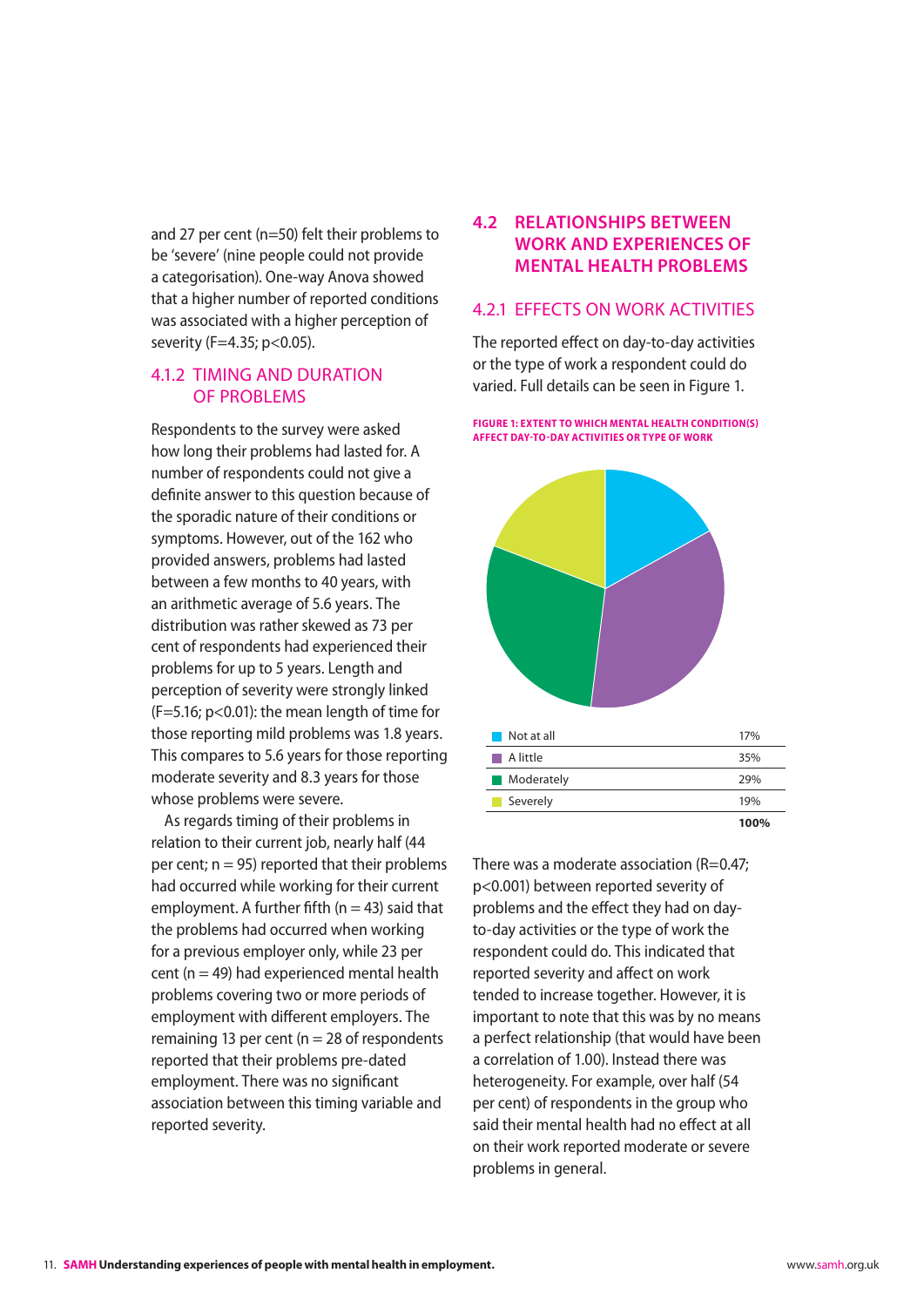<span id="page-11-0"></span>and 27 per cent (n=50) felt their problems to be 'severe' (nine people could not provide a categorisation). One-way Anova showed that a higher number of reported conditions was associated with a higher perception of severity (F=4.35; p<0.05).

#### 4.1.2 Timing and duration of problems

Respondents to the survey were asked how long their problems had lasted for. A number of respondents could not give a definite answer to this question because of the sporadic nature of their conditions or symptoms. However, out of the 162 who provided answers, problems had lasted between a few months to 40 years, with an arithmetic average of 5.6 years. The distribution was rather skewed as 73 per cent of respondents had experienced their problems for up to 5 years. Length and perception of severity were strongly linked (F=5.16; p<0.01): the mean length of time for those reporting mild problems was 1.8 years. This compares to 5.6 years for those reporting moderate severity and 8.3 years for those whose problems were severe.

As regards timing of their problems in relation to their current job, nearly half (44 per cent;  $n = 95$ ) reported that their problems had occurred while working for their current employment. A further fifth ( $n = 43$ ) said that the problems had occurred when working for a previous employer only, while 23 per cent ( $n = 49$ ) had experienced mental health problems covering two or more periods of employment with different employers. The remaining 13 per cent ( $n = 28$  of respondents reported that their problems pre-dated employment. There was no significant association between this timing variable and reported severity.

### **4.2 Relationships between work and experiences of mental health problems**

#### 4.2.1 Effects on work activities

The reported effect on day-to-day activities or the type of work a respondent could do varied. Full details can be seen in Figure 1.

**Figure 1: Extent to which mental health condition(s) affect day-to-day activities or type of work**



There was a moderate association  $(R=0.47;$ p<0.001) between reported severity of problems and the effect they had on dayto-day activities or the type of work the respondent could do. This indicated that reported severity and affect on work tended to increase together. However, it is important to note that this was by no means a perfect relationship (that would have been a correlation of 1.00). Instead there was heterogeneity. For example, over half (54 per cent) of respondents in the group who said their mental health had no effect at all on their work reported moderate or severe problems in general.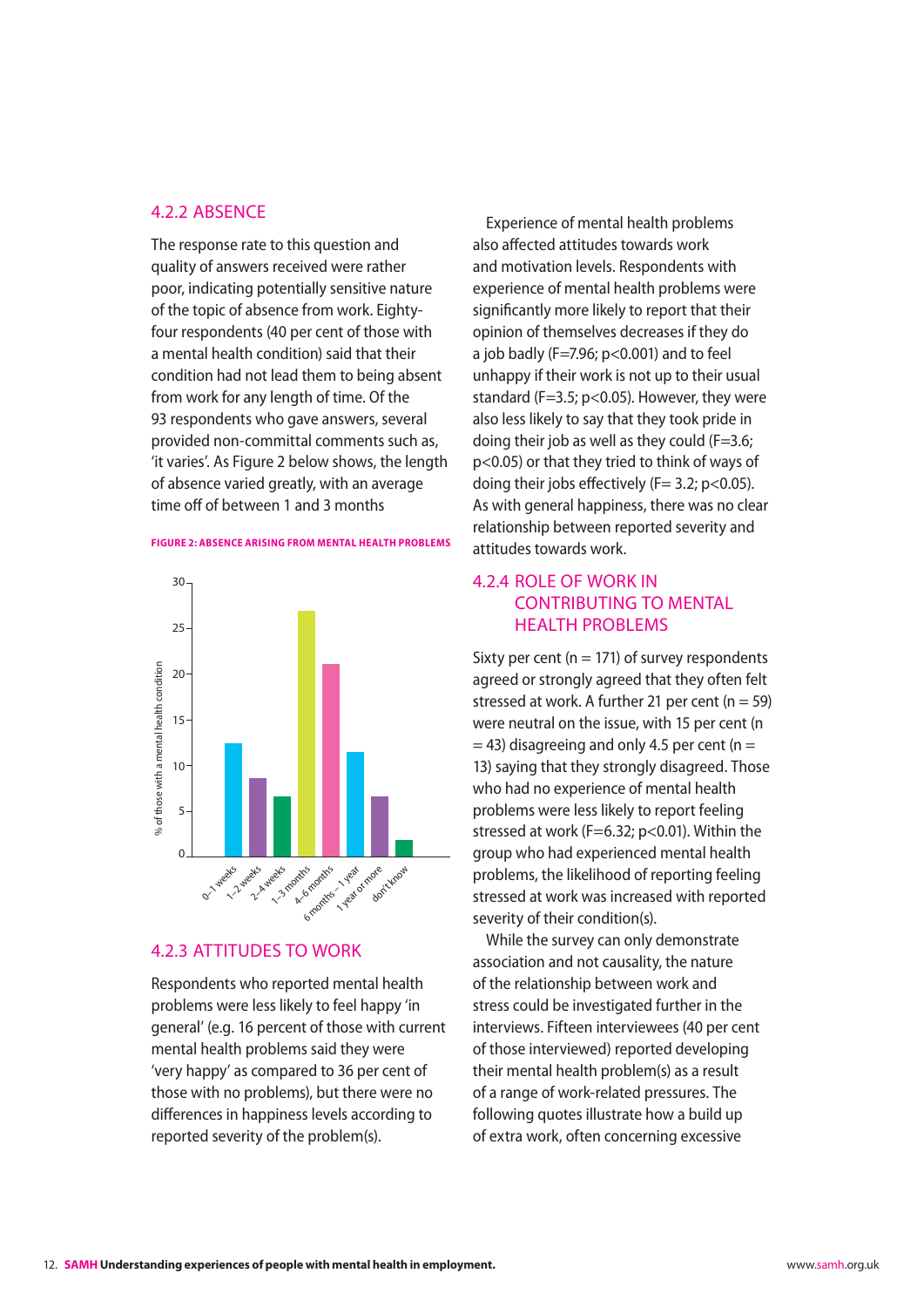#### <span id="page-12-0"></span>4.2.2 Absence

The response rate to this question and quality of answers received were rather poor, indicating potentially sensitive nature of the topic of absence from work. Eightyfour respondents (40 per cent of those with a mental health condition) said that their condition had not lead them to being absent from work for any length of time. Of the 93 respondents who gave answers, several provided non-committal comments such as, 'it varies'. As Figure 2 below shows, the length of absence varied greatly, with an average time off of between 1 and 3 months

#### **Figure 2: Absence arising from mental health problems**



#### 4.2.3 Attitudes to work

Respondents who reported mental health problems were less likely to feel happy 'in general' (e.g. 16 percent of those with current mental health problems said they were 'very happy' as compared to 36 per cent of those with no problems), but there were no differences in happiness levels according to reported severity of the problem(s).

Experience of mental health problems also affected attitudes towards work and motivation levels. Respondents with experience of mental health problems were significantly more likely to report that their opinion of themselves decreases if they do a job badly (F=7.96; p<0.001) and to feel unhappy if their work is not up to their usual standard (F=3.5; p<0.05). However, they were also less likely to say that they took pride in doing their job as well as they could  $(F=3.6;$ p<0.05) or that they tried to think of ways of doing their jobs effectively ( $F= 3.2$ ; p<0.05). As with general happiness, there was no clear relationship between reported severity and attitudes towards work.

#### 4.2.4 Role of work in contributing to mental **HEALTH PROBLEMS**

Sixty per cent ( $n = 171$ ) of survey respondents agreed or strongly agreed that they often felt stressed at work. A further 21 per cent  $(n = 59)$ were neutral on the issue, with 15 per cent (n  $=$  43) disagreeing and only 4.5 per cent (n  $=$ 13) saying that they strongly disagreed. Those who had no experience of mental health problems were less likely to report feeling stressed at work (F=6.32; p<0.01). Within the group who had experienced mental health problems, the likelihood of reporting feeling stressed at work was increased with reported severity of their condition(s).

While the survey can only demonstrate association and not causality, the nature of the relationship between work and stress could be investigated further in the interviews. Fifteen interviewees (40 per cent of those interviewed) reported developing their mental health problem(s) as a result of a range of work-related pressures. The following quotes illustrate how a build up of extra work, often concerning excessive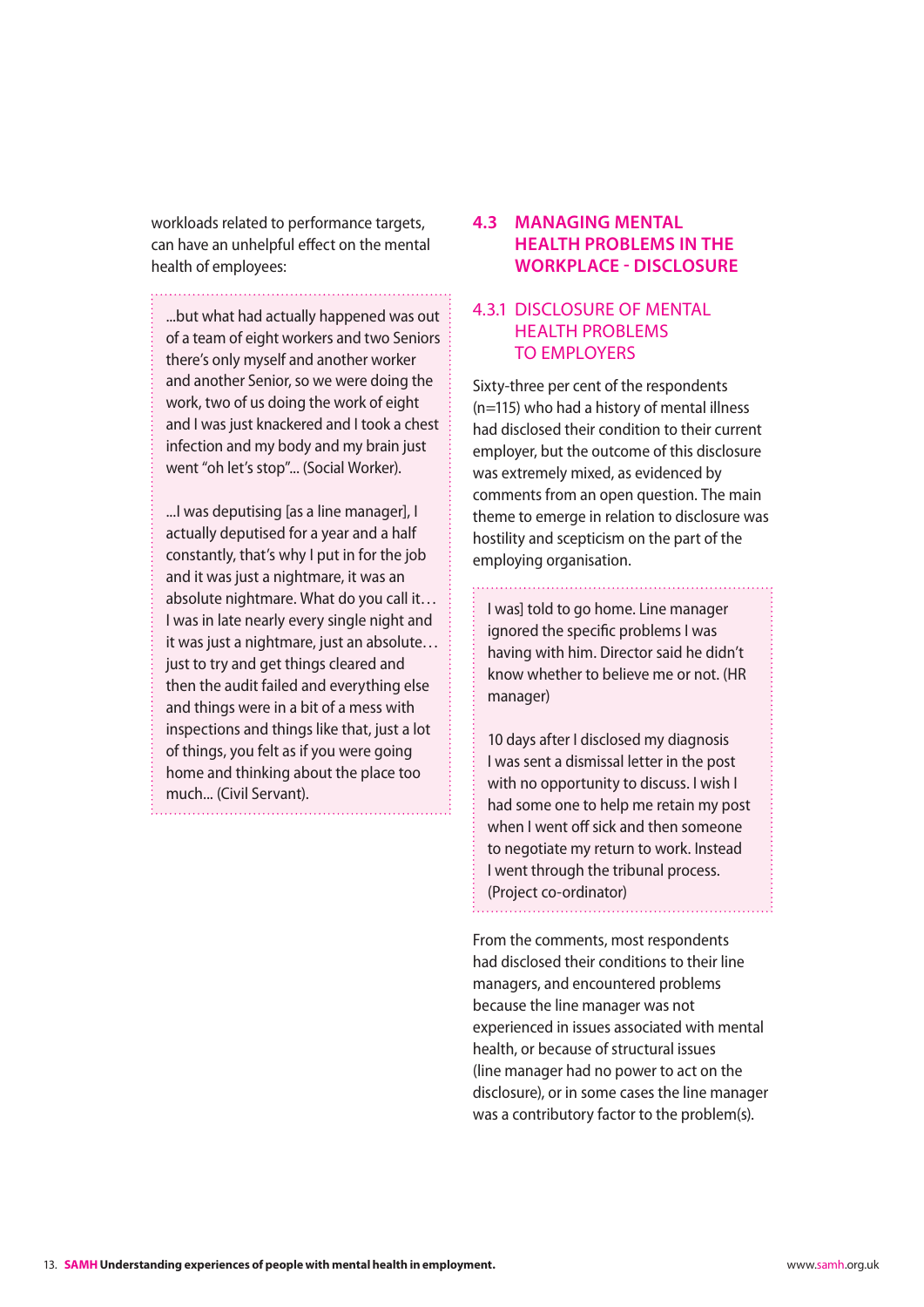<span id="page-13-0"></span>workloads related to performance targets, can have an unhelpful effect on the mental health of employees:

...but what had actually happened was out of a team of eight workers and two Seniors there's only myself and another worker and another Senior, so we were doing the work, two of us doing the work of eight and I was just knackered and I took a chest infection and my body and my brain just went "oh let's stop"... (Social Worker).

...I was deputising [as a line manager], I actually deputised for a year and a half constantly, that's why I put in for the job and it was just a nightmare, it was an absolute nightmare. What do you call it… I was in late nearly every single night and it was just a nightmare, just an absolute… just to try and get things cleared and then the audit failed and everything else and things were in a bit of a mess with inspections and things like that, just a lot of things, you felt as if you were going home and thinking about the place too much... (Civil Servant).

#### **4.3 Managing mental health problems in the workplace - Disclosure**

#### 4.3.1 Disclosure of mental health problems to employers

Sixty-three per cent of the respondents (n=115) who had a history of mental illness had disclosed their condition to their current employer, but the outcome of this disclosure was extremely mixed, as evidenced by comments from an open question. The main theme to emerge in relation to disclosure was hostility and scepticism on the part of the employing organisation.

I was] told to go home. Line manager ignored the specific problems I was having with him. Director said he didn't know whether to believe me or not. (HR manager)

10 days after I disclosed my diagnosis I was sent a dismissal letter in the post with no opportunity to discuss. I wish I had some one to help me retain my post when I went off sick and then someone to negotiate my return to work. Instead I went through the tribunal process. (Project co-ordinator)

From the comments, most respondents had disclosed their conditions to their line managers, and encountered problems because the line manager was not experienced in issues associated with mental health, or because of structural issues (line manager had no power to act on the disclosure), or in some cases the line manager was a contributory factor to the problem(s).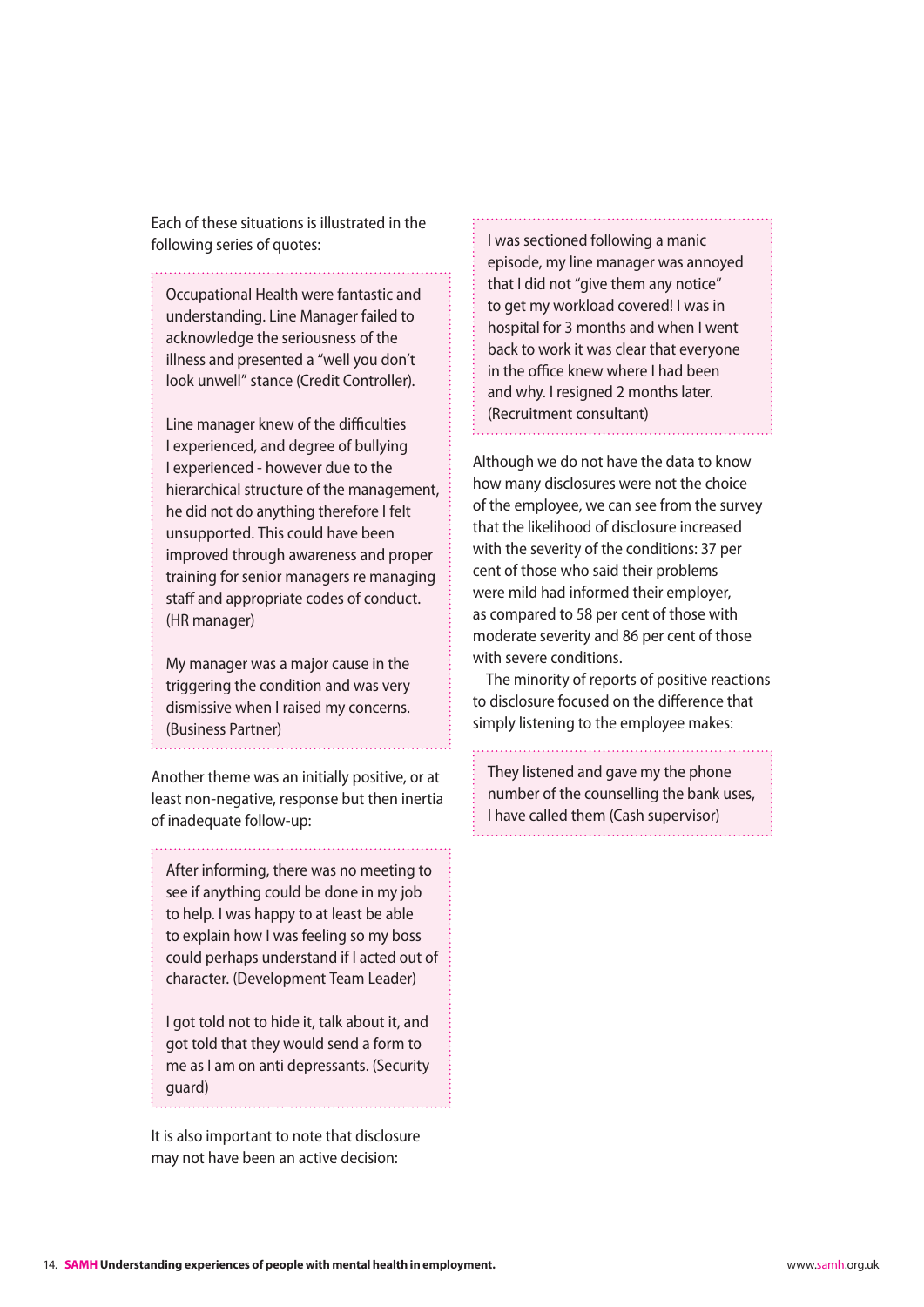Each of these situations is illustrated in the following series of quotes:

Occupational Health were fantastic and understanding. Line Manager failed to acknowledge the seriousness of the illness and presented a "well you don't look unwell" stance (Credit Controller).

Line manager knew of the difficulties I experienced, and degree of bullying I experienced - however due to the hierarchical structure of the management, he did not do anything therefore I felt unsupported. This could have been improved through awareness and proper training for senior managers re managing staff and appropriate codes of conduct. (HR manager)

My manager was a major cause in the triggering the condition and was very dismissive when I raised my concerns. (Business Partner)

Another theme was an initially positive, or at least non-negative, response but then inertia of inadequate follow-up:

After informing, there was no meeting to see if anything could be done in my job to help. I was happy to at least be able to explain how I was feeling so my boss could perhaps understand if I acted out of character. (Development Team Leader)

I got told not to hide it, talk about it, and got told that they would send a form to me as I am on anti depressants. (Security guard)

It is also important to note that disclosure may not have been an active decision:

I was sectioned following a manic episode, my line manager was annoyed that I did not "give them any notice" to get my workload covered! I was in hospital for 3 months and when I went back to work it was clear that everyone in the office knew where I had been and why. I resigned 2 months later. (Recruitment consultant)

Although we do not have the data to know how many disclosures were not the choice of the employee, we can see from the survey that the likelihood of disclosure increased with the severity of the conditions: 37 per cent of those who said their problems were mild had informed their employer, as compared to 58 per cent of those with moderate severity and 86 per cent of those with severe conditions.

The minority of reports of positive reactions to disclosure focused on the difference that simply listening to the employee makes:

They listened and gave my the phone number of the counselling the bank uses, I have called them (Cash supervisor)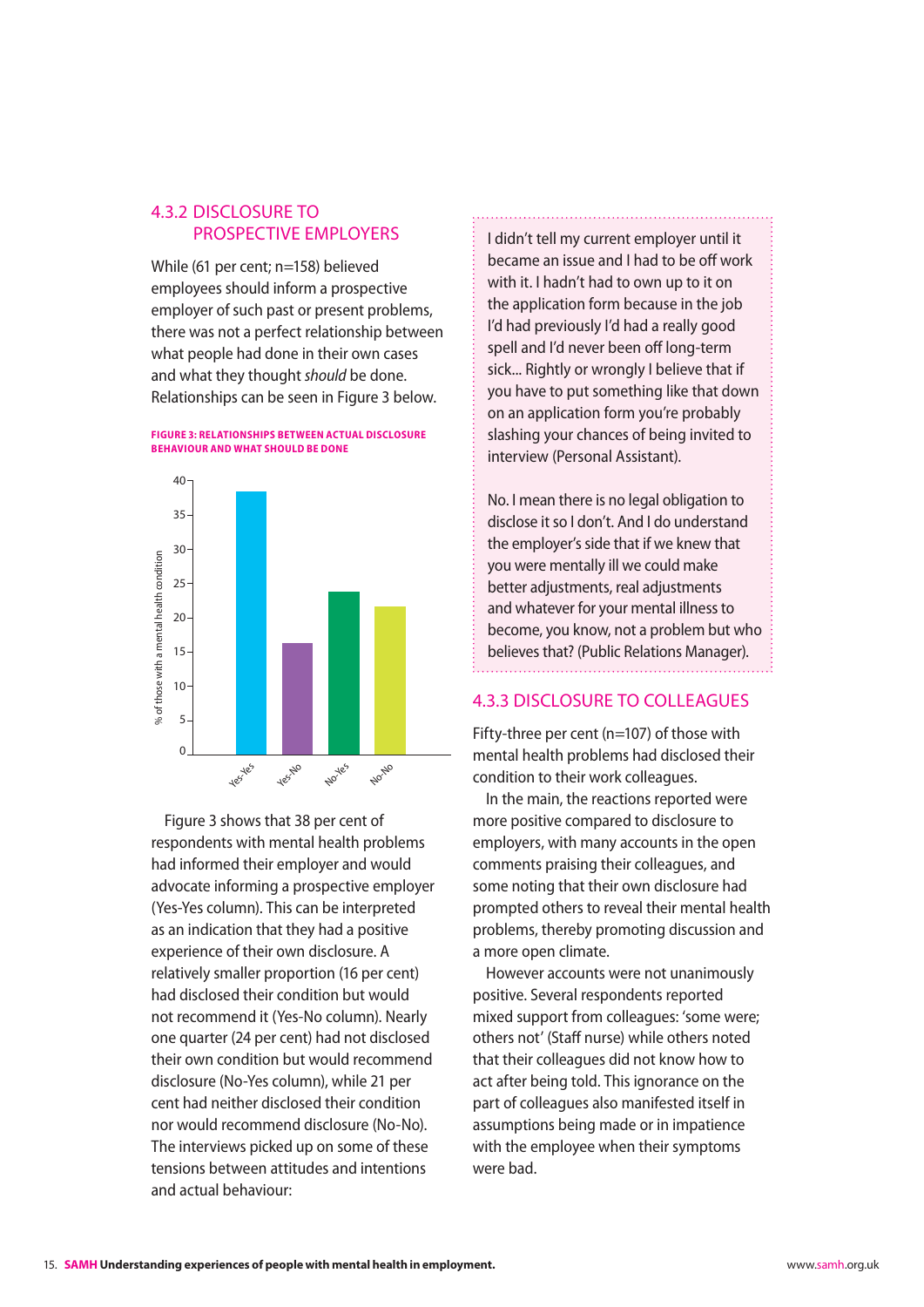### <span id="page-15-0"></span>4.3.2 Disclosure to prospective employers

While (61 per cent; n=158) believed employees should inform a prospective employer of such past or present problems, there was not a perfect relationship between what people had done in their own cases and what they thought *should* be done. Relationships can be seen in Figure 3 below.





Figure 3 shows that 38 per cent of respondents with mental health problems had informed their employer and would advocate informing a prospective employer (Yes-Yes column). This can be interpreted as an indication that they had a positive experience of their own disclosure. A relatively smaller proportion (16 per cent) had disclosed their condition but would not recommend it (Yes-No column). Nearly one quarter (24 per cent) had not disclosed their own condition but would recommend disclosure (No-Yes column), while 21 per cent had neither disclosed their condition nor would recommend disclosure (No-No). The interviews picked up on some of these tensions between attitudes and intentions and actual behaviour:

I didn't tell my current employer until it became an issue and I had to be off work with it. I hadn't had to own up to it on the application form because in the job I'd had previously I'd had a really good spell and I'd never been off long-term sick... Rightly or wrongly I believe that if you have to put something like that down on an application form you're probably slashing your chances of being invited to interview (Personal Assistant).

No. I mean there is no legal obligation to disclose it so I don't. And I do understand the employer's side that if we knew that you were mentally ill we could make better adjustments, real adjustments and whatever for your mental illness to become, you know, not a problem but who believes that? (Public Relations Manager).

#### 4.3.3 Disclosure to colleagues

Fifty-three per cent (n=107) of those with mental health problems had disclosed their condition to their work colleagues.

In the main, the reactions reported were more positive compared to disclosure to employers, with many accounts in the open comments praising their colleagues, and some noting that their own disclosure had prompted others to reveal their mental health problems, thereby promoting discussion and a more open climate.

However accounts were not unanimously positive. Several respondents reported mixed support from colleagues: 'some were; others not' (Staff nurse) while others noted that their colleagues did not know how to act after being told. This ignorance on the part of colleagues also manifested itself in assumptions being made or in impatience with the employee when their symptoms were bad.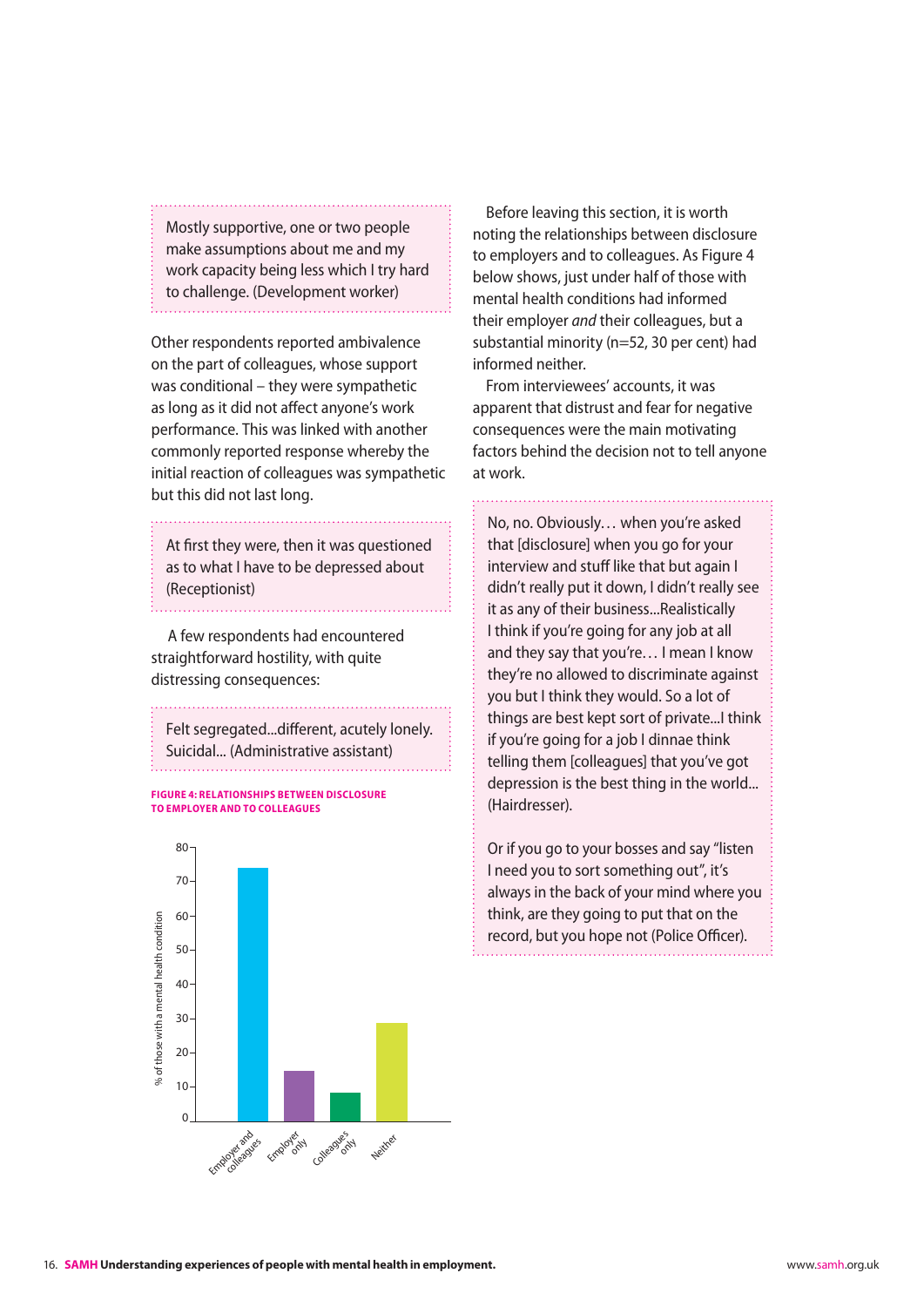<span id="page-16-0"></span>Mostly supportive, one or two people make assumptions about me and my work capacity being less which I try hard to challenge. (Development worker)

Other respondents reported ambivalence on the part of colleagues, whose support was conditional – they were sympathetic as long as it did not affect anyone's work performance. This was linked with another commonly reported response whereby the initial reaction of colleagues was sympathetic but this did not last long.

At first they were, then it was questioned as to what I have to be depressed about (Receptionist)

 A few respondents had encountered straightforward hostility, with quite distressing consequences:

Felt segregated...different, acutely lonely. Suicidal... (Administrative assistant)

**Figure 4: Relationships between disclosure to employer and to colleagues**



Before leaving this section, it is worth noting the relationships between disclosure to employers and to colleagues. As Figure 4 below shows, just under half of those with mental health conditions had informed their employer *and* their colleagues, but a substantial minority (n=52, 30 per cent) had informed neither.

From interviewees' accounts, it was apparent that distrust and fear for negative consequences were the main motivating factors behind the decision not to tell anyone at work.

No, no. Obviously… when you're asked that [disclosure] when you go for your interview and stuff like that but again I didn't really put it down, I didn't really see it as any of their business...Realistically I think if you're going for any job at all and they say that you're… I mean I know they're no allowed to discriminate against you but I think they would. So a lot of things are best kept sort of private...I think if you're going for a job I dinnae think telling them [colleagues] that you've got depression is the best thing in the world... (Hairdresser).

Or if you go to your bosses and say "listen I need you to sort something out", it's always in the back of your mind where you think, are they going to put that on the record, but you hope not (Police Officer).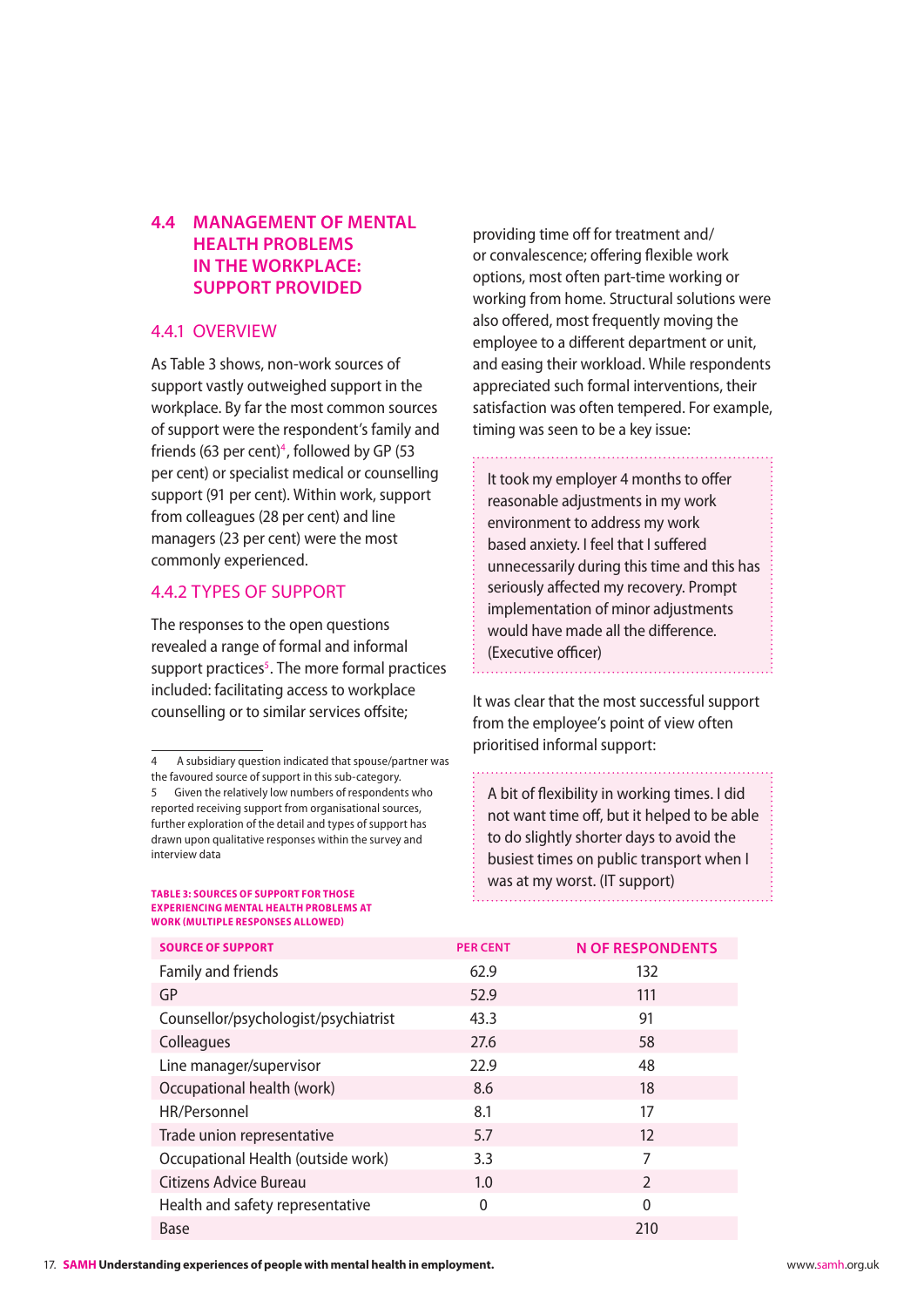### <span id="page-17-0"></span>**4.4 Management of mental health problems in the workplace: Support provided**

#### 4.4.1 Overview

As Table 3 shows, non-work sources of support vastly outweighed support in the workplace. By far the most common sources of support were the respondent's family and friends (63 per cent)<sup>4</sup>, followed by GP (53 per cent) or specialist medical or counselling support (91 per cent). Within work, support from colleagues (28 per cent) and line managers (23 per cent) were the most commonly experienced.

#### 4.4.2 Types of support

The responses to the open questions revealed a range of formal and informal support practices<sup>5</sup>. The more formal practices included: facilitating access to workplace counselling or to similar services offsite;

#### **Table 3: sources of support for those experiencing mental health problems at work (multiple responses allowed)**

providing time off for treatment and/ or convalescence; offering flexible work options, most often part-time working or working from home. Structural solutions were also offered, most frequently moving the employee to a different department or unit, and easing their workload. While respondents appreciated such formal interventions, their satisfaction was often tempered. For example, timing was seen to be a key issue:

It took my employer 4 months to offer reasonable adjustments in my work environment to address my work based anxiety. I feel that I suffered unnecessarily during this time and this has seriously affected my recovery. Prompt implementation of minor adjustments would have made all the difference. (Executive officer)

It was clear that the most successful support from the employee's point of view often prioritised informal support:

A bit of flexibility in working times. I did not want time off, but it helped to be able to do slightly shorter days to avoid the busiest times on public transport when I was at my worst. (IT support)

| <b>SOURCE OF SUPPORT</b>             | <b>PER CENT</b> | <b>N OF RESPONDENTS</b> |
|--------------------------------------|-----------------|-------------------------|
| Family and friends                   | 62.9            | 132                     |
| GP                                   | 52.9            | 111                     |
| Counsellor/psychologist/psychiatrist | 43.3            | 91                      |
| Colleagues                           | 27.6            | 58                      |
| Line manager/supervisor              | 22.9            | 48                      |
| Occupational health (work)           | 8.6             | 18                      |
| HR/Personnel                         | 8.1             | 17                      |
| Trade union representative           | 5.7             | 12                      |
| Occupational Health (outside work)   | 3.3             | 7                       |
| Citizens Advice Bureau               | 1.0             | $\mathcal{P}$           |
| Health and safety representative     | $\Omega$        | $\mathbf{0}$            |
| Base                                 |                 | 210                     |

<sup>4</sup> A subsidiary question indicated that spouse/partner was the favoured source of support in this sub-category.

<sup>5</sup> Given the relatively low numbers of respondents who reported receiving support from organisational sources, further exploration of the detail and types of support has drawn upon qualitative responses within the survey and interview data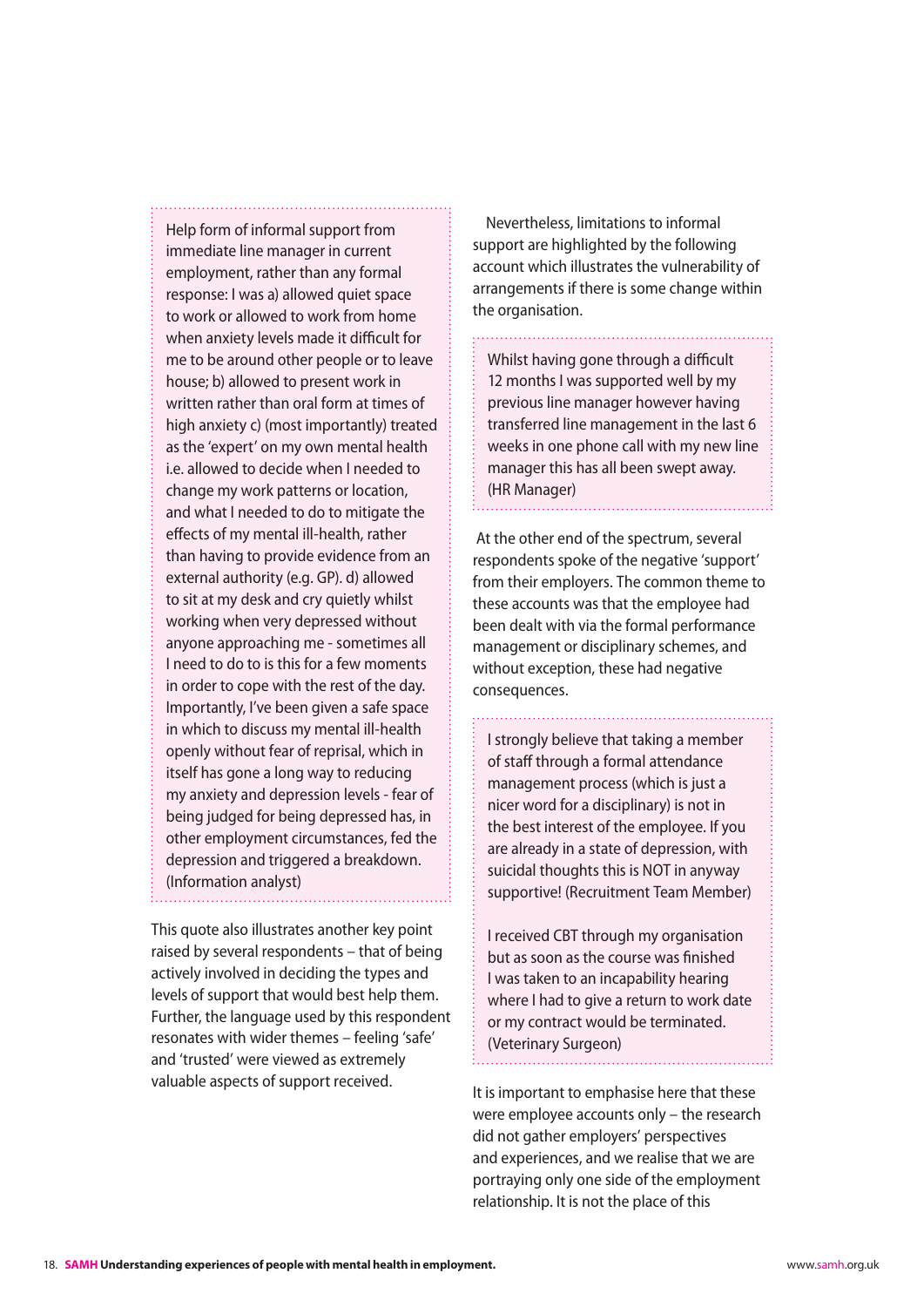Help form of informal support from immediate line manager in current employment, rather than any formal response: I was a) allowed quiet space to work or allowed to work from home when anxiety levels made it difficult for me to be around other people or to leave house; b) allowed to present work in written rather than oral form at times of high anxiety c) (most importantly) treated as the 'expert' on my own mental health i.e. allowed to decide when I needed to change my work patterns or location, and what I needed to do to mitigate the effects of my mental ill-health, rather than having to provide evidence from an external authority (e.g. GP). d) allowed to sit at my desk and cry quietly whilst working when very depressed without anyone approaching me - sometimes all I need to do to is this for a few moments in order to cope with the rest of the day. Importantly, I've been given a safe space in which to discuss my mental ill-health openly without fear of reprisal, which in itself has gone a long way to reducing my anxiety and depression levels - fear of being judged for being depressed has, in other employment circumstances, fed the depression and triggered a breakdown. (Information analyst)

This quote also illustrates another key point raised by several respondents – that of being actively involved in deciding the types and levels of support that would best help them. Further, the language used by this respondent resonates with wider themes – feeling 'safe' and 'trusted' were viewed as extremely valuable aspects of support received.

Nevertheless, limitations to informal support are highlighted by the following account which illustrates the vulnerability of arrangements if there is some change within the organisation.

Whilst having gone through a difficult 12 months I was supported well by my previous line manager however having transferred line management in the last 6 weeks in one phone call with my new line manager this has all been swept away. (HR Manager)

 At the other end of the spectrum, several respondents spoke of the negative 'support' from their employers. The common theme to these accounts was that the employee had been dealt with via the formal performance management or disciplinary schemes, and without exception, these had negative consequences.

I strongly believe that taking a member of staff through a formal attendance management process (which is just a nicer word for a disciplinary) is not in the best interest of the employee. If you are already in a state of depression, with suicidal thoughts this is NOT in anyway supportive! (Recruitment Team Member)

I received CBT through my organisation but as soon as the course was finished I was taken to an incapability hearing where I had to give a return to work date or my contract would be terminated. (Veterinary Surgeon)

It is important to emphasise here that these were employee accounts only – the research did not gather employers' perspectives and experiences, and we realise that we are portraying only one side of the employment relationship. It is not the place of this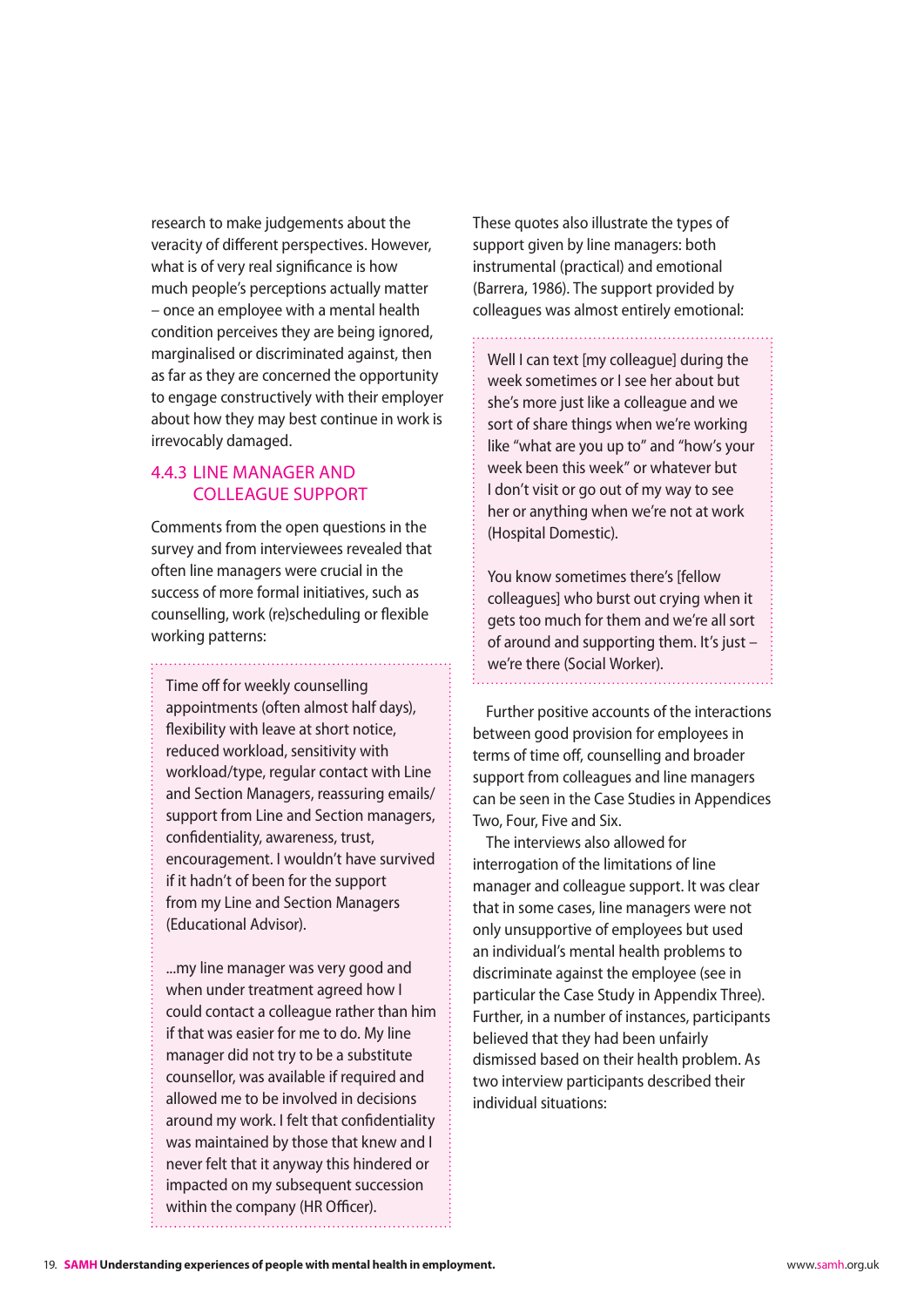<span id="page-19-0"></span>research to make judgements about the veracity of different perspectives. However, what is of very real significance is how much people's perceptions actually matter – once an employee with a mental health condition perceives they are being ignored, marginalised or discriminated against, then as far as they are concerned the opportunity to engage constructively with their employer about how they may best continue in work is irrevocably damaged.

#### 4.4.3 Line manager and colleague support

Comments from the open questions in the survey and from interviewees revealed that often line managers were crucial in the success of more formal initiatives, such as counselling, work (re)scheduling or flexible working patterns:

Time off for weekly counselling appointments (often almost half days), flexibility with leave at short notice, reduced workload, sensitivity with workload/type, regular contact with Line and Section Managers, reassuring emails/ support from Line and Section managers, confidentiality, awareness, trust, encouragement. I wouldn't have survived if it hadn't of been for the support from my Line and Section Managers (Educational Advisor).

...my line manager was very good and when under treatment agreed how I could contact a colleague rather than him if that was easier for me to do. My line manager did not try to be a substitute counsellor, was available if required and allowed me to be involved in decisions around my work. I felt that confidentiality was maintained by those that knew and I never felt that it anyway this hindered or impacted on my subsequent succession within the company (HR Officer).

These quotes also illustrate the types of support given by line managers: both instrumental (practical) and emotional (Barrera, 1986). The support provided by colleagues was almost entirely emotional:

Well I can text [my colleague] during the week sometimes or I see her about but

she's more just like a colleague and we sort of share things when we're working like "what are you up to" and "how's your week been this week" or whatever but I don't visit or go out of my way to see her or anything when we're not at work (Hospital Domestic).

You know sometimes there's [fellow colleagues] who burst out crying when it gets too much for them and we're all sort of around and supporting them. It's just – we're there (Social Worker).

Further positive accounts of the interactions between good provision for employees in terms of time off, counselling and broader support from colleagues and line managers can be seen in the Case Studies in Appendices Two, Four, Five and Six.

The interviews also allowed for interrogation of the limitations of line manager and colleague support. It was clear that in some cases, line managers were not only unsupportive of employees but used an individual's mental health problems to discriminate against the employee (see in particular the Case Study in Appendix Three). Further, in a number of instances, participants believed that they had been unfairly dismissed based on their health problem. As two interview participants described their individual situations: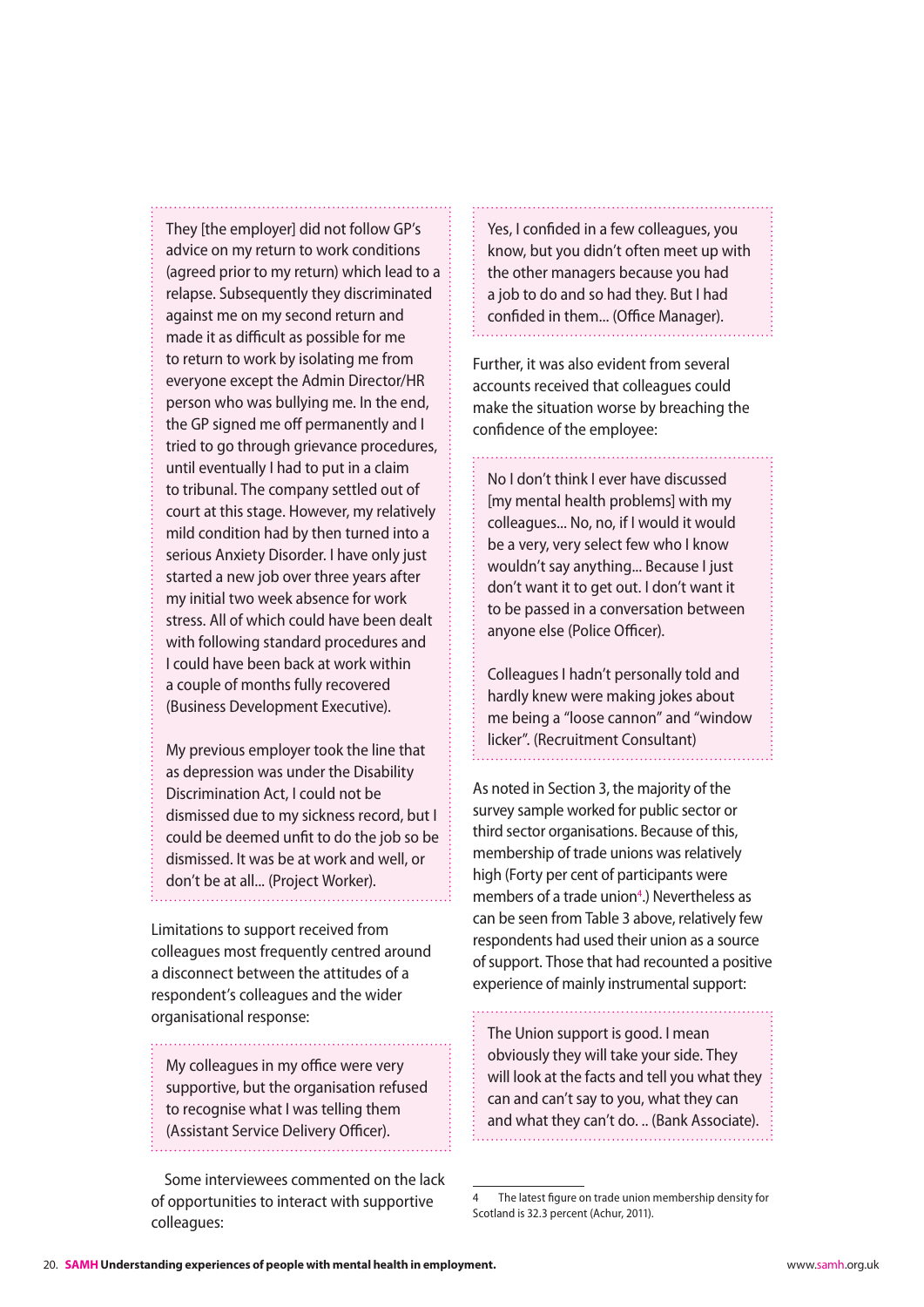They [the employer] did not follow GP's advice on my return to work conditions (agreed prior to my return) which lead to a relapse. Subsequently they discriminated against me on my second return and made it as difficult as possible for me to return to work by isolating me from everyone except the Admin Director/HR person who was bullying me. In the end, the GP signed me off permanently and I tried to go through grievance procedures, until eventually I had to put in a claim to tribunal. The company settled out of court at this stage. However, my relatively mild condition had by then turned into a serious Anxiety Disorder. I have only just started a new job over three years after my initial two week absence for work stress. All of which could have been dealt with following standard procedures and I could have been back at work within a couple of months fully recovered (Business Development Executive).

My previous employer took the line that as depression was under the Disability Discrimination Act, I could not be dismissed due to my sickness record, but I could be deemed unfit to do the job so be dismissed. It was be at work and well, or don't be at all... (Project Worker).

Limitations to support received from colleagues most frequently centred around a disconnect between the attitudes of a respondent's colleagues and the wider organisational response:

My colleagues in my office were very supportive, but the organisation refused to recognise what I was telling them (Assistant Service Delivery Officer).

Some interviewees commented on the lack of opportunities to interact with supportive colleagues:

Yes, I confided in a few colleagues, you know, but you didn't often meet up with the other managers because you had a job to do and so had they. But I had confided in them... (Office Manager).

Further, it was also evident from several accounts received that colleagues could make the situation worse by breaching the confidence of the employee:

No I don't think I ever have discussed [my mental health problems] with my colleagues... No, no, if I would it would be a very, very select few who I know wouldn't say anything... Because I just don't want it to get out. I don't want it to be passed in a conversation between anyone else (Police Officer).

Colleagues I hadn't personally told and hardly knew were making jokes about me being a "loose cannon" and "window licker". (Recruitment Consultant)

As noted in Section 3, the majority of the survey sample worked for public sector or third sector organisations. Because of this, membership of trade unions was relatively high (Forty per cent of participants were members of a trade union<sup>4</sup>.) Nevertheless as can be seen from Table 3 above, relatively few respondents had used their union as a source of support. Those that had recounted a positive experience of mainly instrumental support:

The Union support is good. I mean obviously they will take your side. They will look at the facts and tell you what they can and can't say to you, what they can and what they can't do. .. (Bank Associate).

The latest figure on trade union membership density for Scotland is 32.3 percent (Achur, 2011).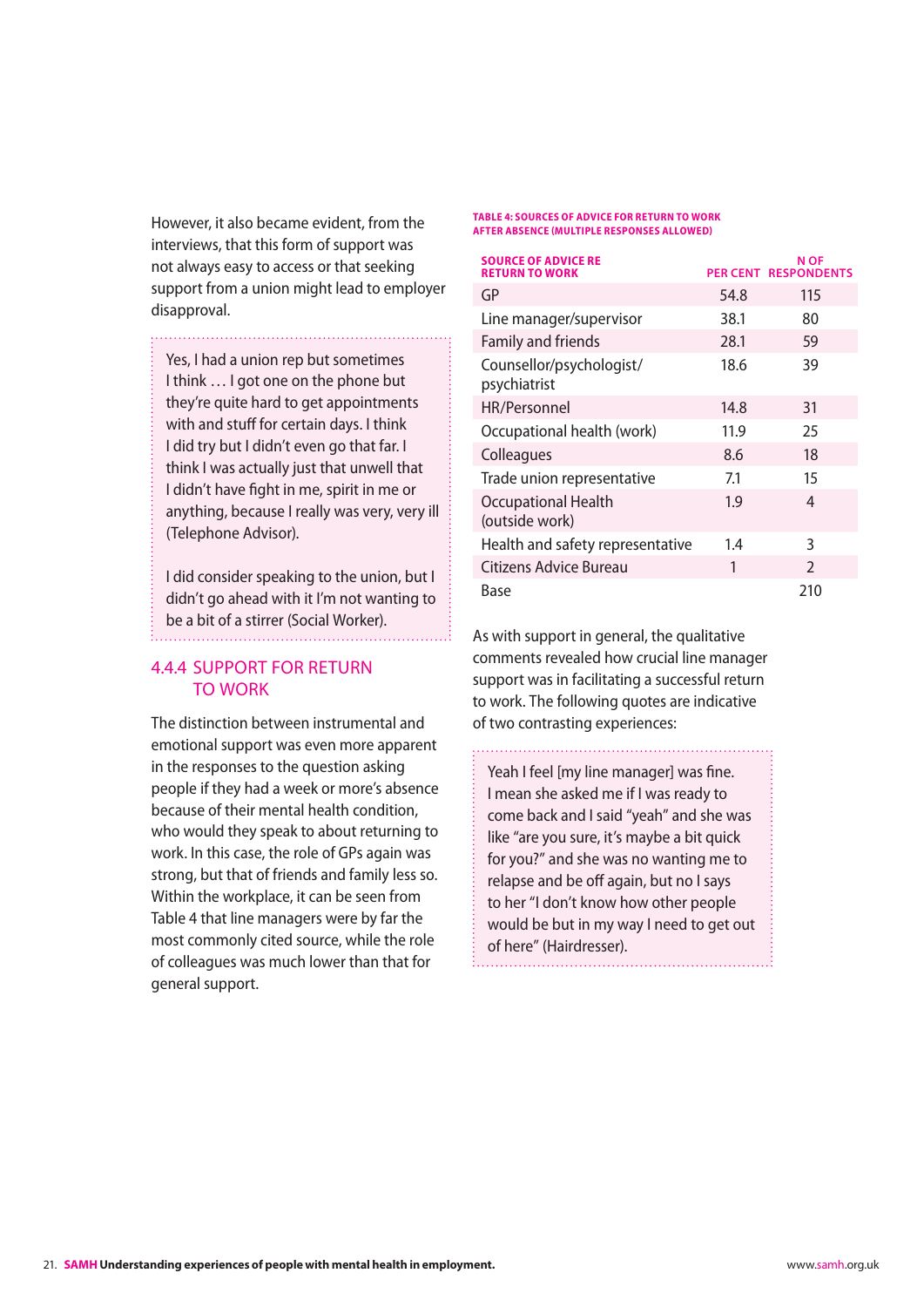<span id="page-21-0"></span>However, it also became evident, from the interviews, that this form of support was not always easy to access or that seeking support from a union might lead to employer disapproval.

Yes, I had a union rep but sometimes I think … I got one on the phone but they're quite hard to get appointments with and stuff for certain days. I think I did try but I didn't even go that far. I think I was actually just that unwell that I didn't have fight in me, spirit in me or anything, because I really was very, very ill (Telephone Advisor).

I did consider speaking to the union, but I didn't go ahead with it I'm not wanting to be a bit of a stirrer (Social Worker).

#### 4.4.4 Support for return to work

The distinction between instrumental and emotional support was even more apparent in the responses to the question asking people if they had a week or more's absence because of their mental health condition, who would they speak to about returning to work. In this case, the role of GPs again was strong, but that of friends and family less so. Within the workplace, it can be seen from Table 4 that line managers were by far the most commonly cited source, while the role of colleagues was much lower than that for general support.

#### **Table 4: sources of advice for return to work after absence (multiple responses allowed)**

| <b>SOURCE OF ADVICE RE</b><br><b>RETURN TO WORK</b> |      | N OF<br><b>PER CENT RESPONDENTS</b> |
|-----------------------------------------------------|------|-------------------------------------|
| GP                                                  | 54.8 | 115                                 |
| Line manager/supervisor                             | 38.1 | 80                                  |
| Family and friends                                  | 28.1 | 59                                  |
| Counsellor/psychologist/<br>psychiatrist            | 18.6 | 39                                  |
| HR/Personnel                                        | 14.8 | 31                                  |
| Occupational health (work)                          | 11.9 | 25                                  |
| Colleagues                                          | 8.6  | 18                                  |
| Trade union representative                          | 7.1  | 15                                  |
| <b>Occupational Health</b><br>(outside work)        | 1.9  | 4                                   |
| Health and safety representative                    | 1.4  | 3                                   |
| Citizens Advice Bureau                              | 1    | $\mathcal{P}$                       |
| Base                                                |      | 210                                 |

As with support in general, the qualitative comments revealed how crucial line manager support was in facilitating a successful return to work. The following quotes are indicative of two contrasting experiences:

Yeah I feel [my line manager] was fine. I mean she asked me if I was ready to come back and I said "yeah" and she was like "are you sure, it's maybe a bit quick for you?" and she was no wanting me to relapse and be off again, but no I says to her "I don't know how other people would be but in my way I need to get out of here" (Hairdresser).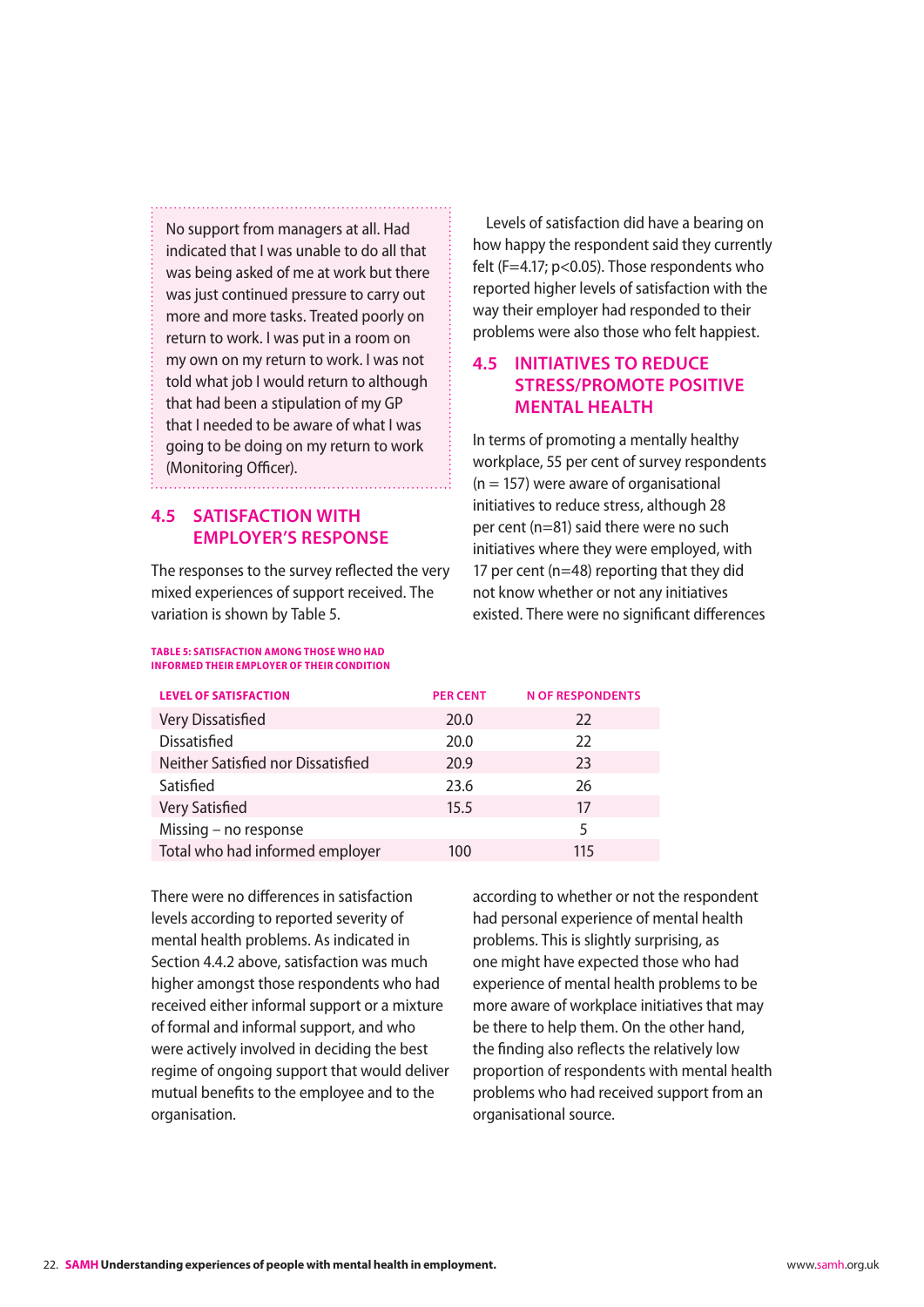<span id="page-22-0"></span>No support from managers at all. Had indicated that I was unable to do all that was being asked of me at work but there was just continued pressure to carry out more and more tasks. Treated poorly on return to work. I was put in a room on my own on my return to work. I was not told what job I would return to although that had been a stipulation of my GP that I needed to be aware of what I was going to be doing on my return to work (Monitoring Officer).

#### **4.5 Satisfaction with employer's response**

The responses to the survey reflected the very mixed experiences of support received. The variation is shown by Table 5.

**Table 5: Satisfaction among those who had informed their employer of their condition**

Levels of satisfaction did have a bearing on how happy the respondent said they currently felt (F=4.17; p<0.05). Those respondents who reported higher levels of satisfaction with the way their employer had responded to their problems were also those who felt happiest.

#### **4.5 Initiatives to reduce stress/promote positive mental health**

In terms of promoting a mentally healthy workplace, 55 per cent of survey respondents  $(n = 157)$  were aware of organisational initiatives to reduce stress, although 28 per cent (n=81) said there were no such initiatives where they were employed, with 17 per cent (n=48) reporting that they did not know whether or not any initiatives existed. There were no significant differences

| <b>LEVEL OF SATISFACTION</b>       | <b>PER CENT</b> | <b>N OF RESPONDENTS</b> |
|------------------------------------|-----------------|-------------------------|
| Very Dissatisfied                  | 20.0            | 22                      |
| <b>Dissatisfied</b>                | 20.0            | 22                      |
| Neither Satisfied nor Dissatisfied | 20.9            | 23                      |
| Satisfied                          | 23.6            | 26                      |
| Very Satisfied                     | 15.5            | 17                      |
| Missing - no response              |                 | 5                       |
| Total who had informed employer    | 100             | 115                     |

There were no differences in satisfaction levels according to reported severity of mental health problems. As indicated in Section 4.4.2 above, satisfaction was much higher amongst those respondents who had received either informal support or a mixture of formal and informal support, and who were actively involved in deciding the best regime of ongoing support that would deliver mutual benefits to the employee and to the organisation.

according to whether or not the respondent had personal experience of mental health problems. This is slightly surprising, as one might have expected those who had experience of mental health problems to be more aware of workplace initiatives that may be there to help them. On the other hand, the finding also reflects the relatively low proportion of respondents with mental health problems who had received support from an organisational source.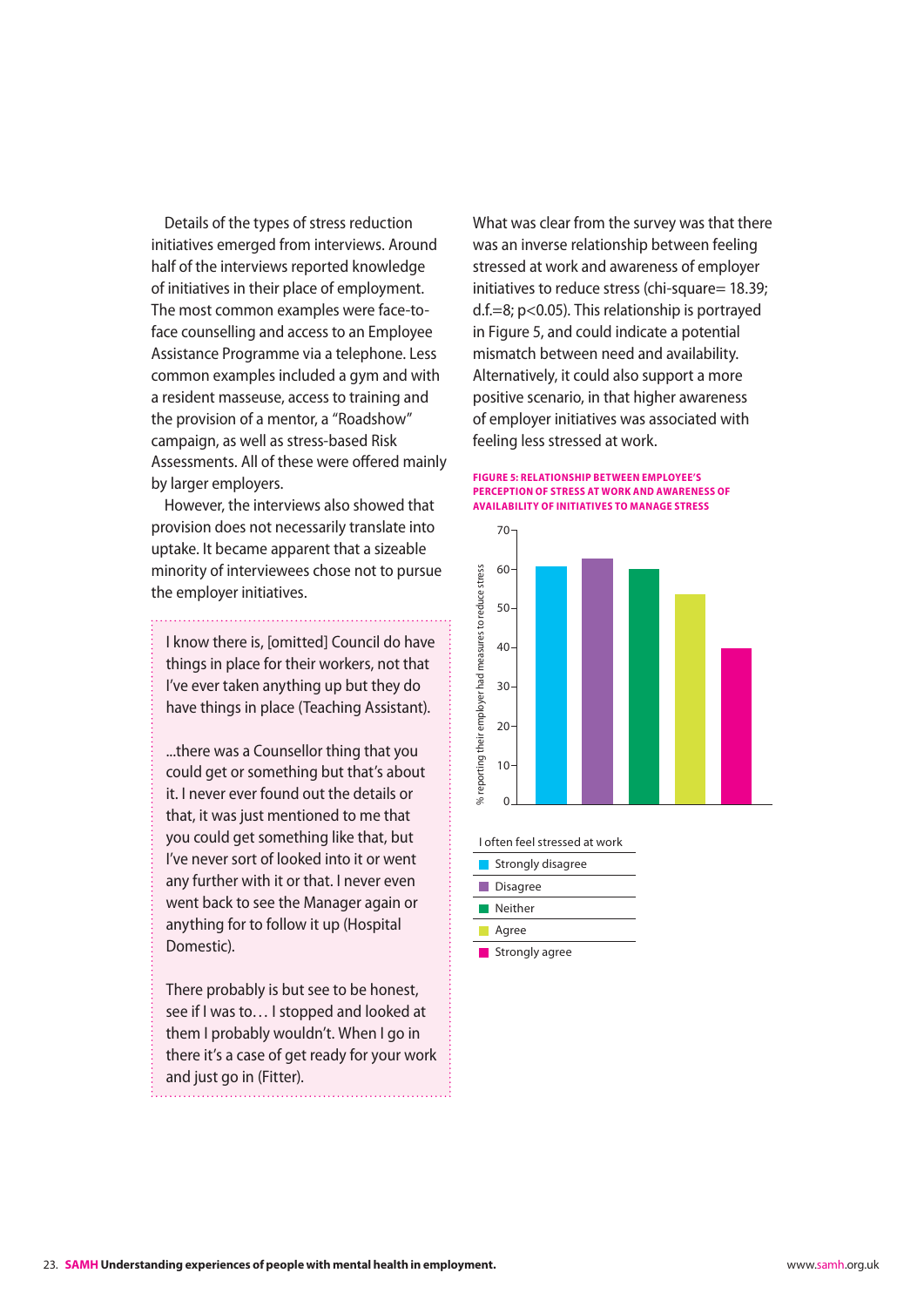<span id="page-23-0"></span>Details of the types of stress reduction initiatives emerged from interviews. Around half of the interviews reported knowledge of initiatives in their place of employment. The most common examples were face-toface counselling and access to an Employee Assistance Programme via a telephone. Less common examples included a gym and with a resident masseuse, access to training and the provision of a mentor, a "Roadshow" campaign, as well as stress-based Risk Assessments. All of these were offered mainly by larger employers.

However, the interviews also showed that provision does not necessarily translate into uptake. It became apparent that a sizeable minority of interviewees chose not to pursue the employer initiatives.

I know there is, [omitted] Council do have things in place for their workers, not that I've ever taken anything up but they do have things in place (Teaching Assistant).

...there was a Counsellor thing that you could get or something but that's about it. I never ever found out the details or that, it was just mentioned to me that you could get something like that, but I've never sort of looked into it or went any further with it or that. I never even went back to see the Manager again or anything for to follow it up (Hospital Domestic).

There probably is but see to be honest, see if I was to… I stopped and looked at them I probably wouldn't. When I go in there it's a case of get ready for your work and just go in (Fitter).

What was clear from the survey was that there was an inverse relationship between feeling stressed at work and awareness of employer initiatives to reduce stress (chi-square= 18.39; d.f.=8; p<0.05). This relationship is portrayed in Figure 5, and could indicate a potential mismatch between need and availability. Alternatively, it could also support a more positive scenario, in that higher awareness of employer initiatives was associated with feeling less stressed at work.

#### **Figure 5: Relationship between employee's perception of stress at work and awareness of availability of initiatives to manage stress**



I often feel stressed at work

|     | Strongly disagree |
|-----|-------------------|
| l a | <b>Disagree</b>   |
|     | Neither           |
|     | Agree             |
|     | Strongly agree    |

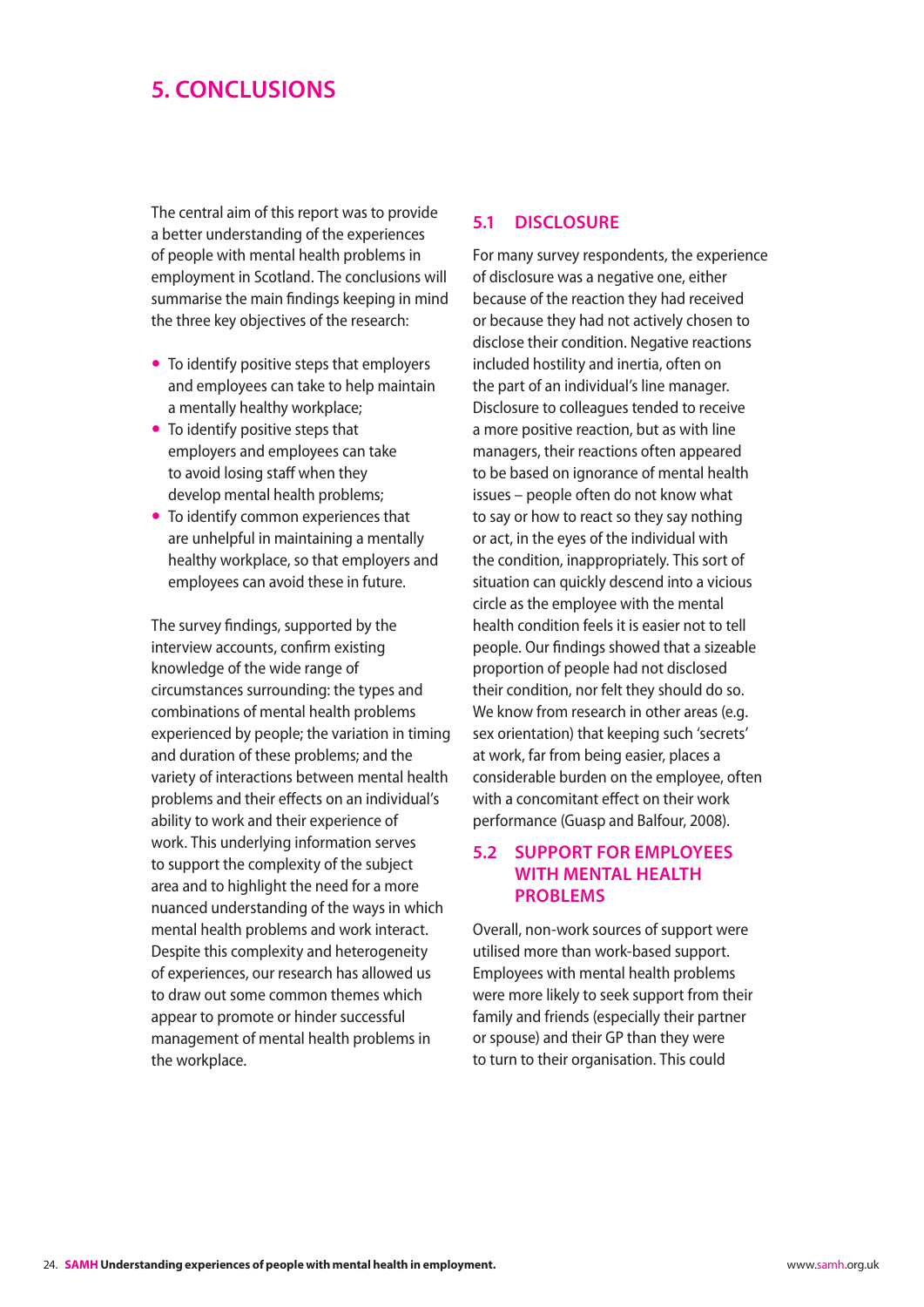## <span id="page-24-0"></span>**5. Conclusions**

The central aim of this report was to provide a better understanding of the experiences of people with mental health problems in employment in Scotland. The conclusions will summarise the main findings keeping in mind the three key objectives of the research:

- To identify positive steps that employers and employees can take to help maintain a mentally healthy workplace;
- $\bullet$  To identify positive steps that employers and employees can take to avoid losing staff when they develop mental health problems;
- To identify common experiences that are unhelpful in maintaining a mentally healthy workplace, so that employers and employees can avoid these in future.

The survey findings, supported by the interview accounts, confirm existing knowledge of the wide range of circumstances surrounding: the types and combinations of mental health problems experienced by people; the variation in timing and duration of these problems; and the variety of interactions between mental health problems and their effects on an individual's ability to work and their experience of work. This underlying information serves to support the complexity of the subject area and to highlight the need for a more nuanced understanding of the ways in which mental health problems and work interact. Despite this complexity and heterogeneity of experiences, our research has allowed us to draw out some common themes which appear to promote or hinder successful management of mental health problems in the workplace.

#### **5.1 Disclosure**

For many survey respondents, the experience of disclosure was a negative one, either because of the reaction they had received or because they had not actively chosen to disclose their condition. Negative reactions included hostility and inertia, often on the part of an individual's line manager. Disclosure to colleagues tended to receive a more positive reaction, but as with line managers, their reactions often appeared to be based on ignorance of mental health issues – people often do not know what to say or how to react so they say nothing or act, in the eyes of the individual with the condition, inappropriately. This sort of situation can quickly descend into a vicious circle as the employee with the mental health condition feels it is easier not to tell people. Our findings showed that a sizeable proportion of people had not disclosed their condition, nor felt they should do so. We know from research in other areas (e.g. sex orientation) that keeping such 'secrets' at work, far from being easier, places a considerable burden on the employee, often with a concomitant effect on their work performance (Guasp and Balfour, 2008).

#### **5.2 Support for employees with mental health PROBLEMS**

Overall, non-work sources of support were utilised more than work-based support. Employees with mental health problems were more likely to seek support from their family and friends (especially their partner or spouse) and their GP than they were to turn to their organisation. This could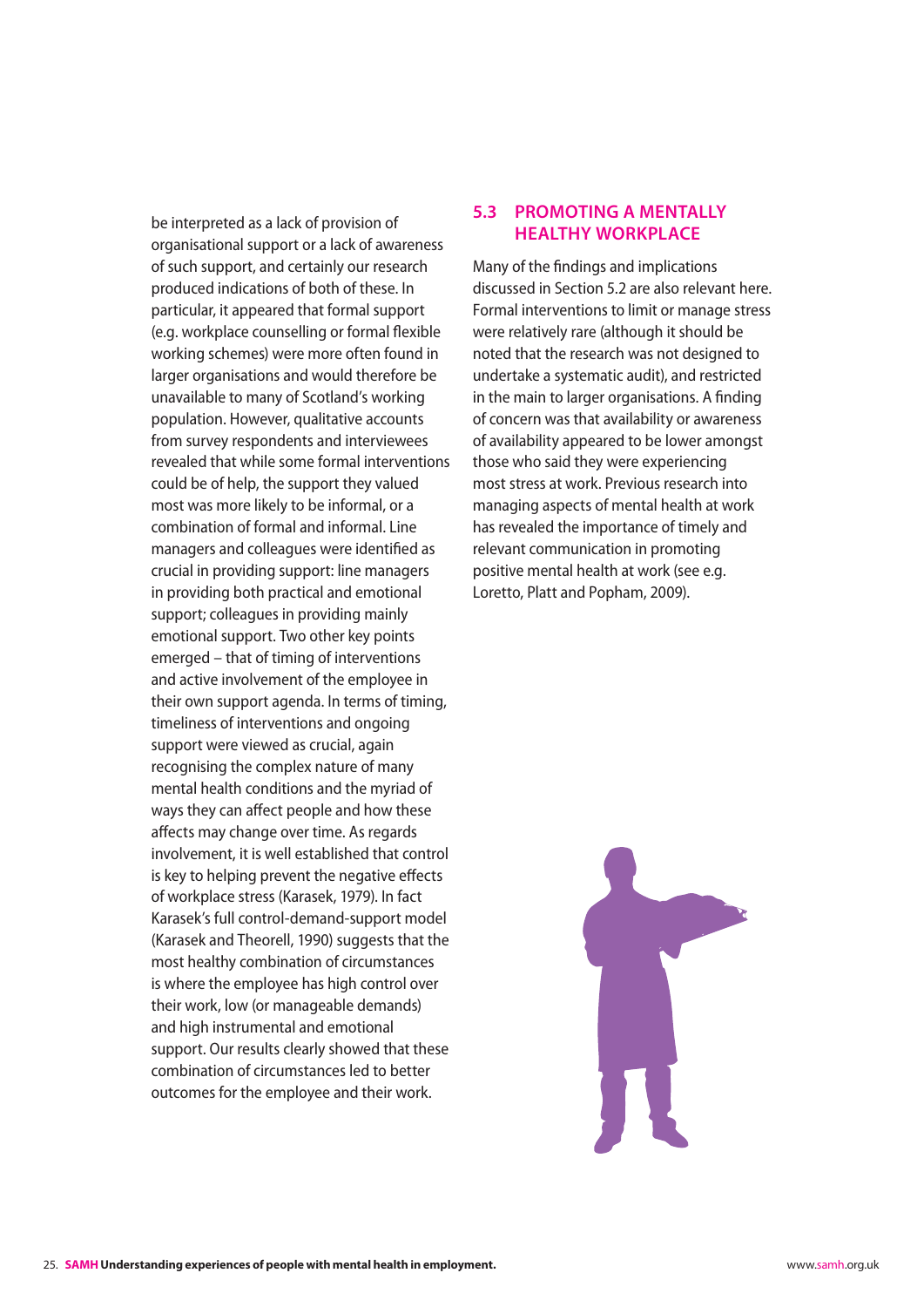<span id="page-25-0"></span>be interpreted as a lack of provision of organisational support or a lack of awareness of such support, and certainly our research produced indications of both of these. In particular, it appeared that formal support (e.g. workplace counselling or formal flexible working schemes) were more often found in larger organisations and would therefore be unavailable to many of Scotland's working population. However, qualitative accounts from survey respondents and interviewees revealed that while some formal interventions could be of help, the support they valued most was more likely to be informal, or a combination of formal and informal. Line managers and colleagues were identified as crucial in providing support: line managers in providing both practical and emotional support; colleagues in providing mainly emotional support. Two other key points emerged – that of timing of interventions and active involvement of the employee in their own support agenda. In terms of timing, timeliness of interventions and ongoing support were viewed as crucial, again recognising the complex nature of many mental health conditions and the myriad of ways they can affect people and how these affects may change over time. As regards involvement, it is well established that control is key to helping prevent the negative effects of workplace stress (Karasek, 1979). In fact Karasek's full control-demand-support model (Karasek and Theorell, 1990) suggests that the most healthy combination of circumstances is where the employee has high control over their work, low (or manageable demands) and high instrumental and emotional support. Our results clearly showed that these combination of circumstances led to better outcomes for the employee and their work.

### **5.3 Promoting a mentally healthy workplace**

Many of the findings and implications discussed in Section 5.2 are also relevant here. Formal interventions to limit or manage stress were relatively rare (although it should be noted that the research was not designed to undertake a systematic audit), and restricted in the main to larger organisations. A finding of concern was that availability or awareness of availability appeared to be lower amongst those who said they were experiencing most stress at work. Previous research into managing aspects of mental health at work has revealed the importance of timely and relevant communication in promoting positive mental health at work (see e.g. Loretto, Platt and Popham, 2009).

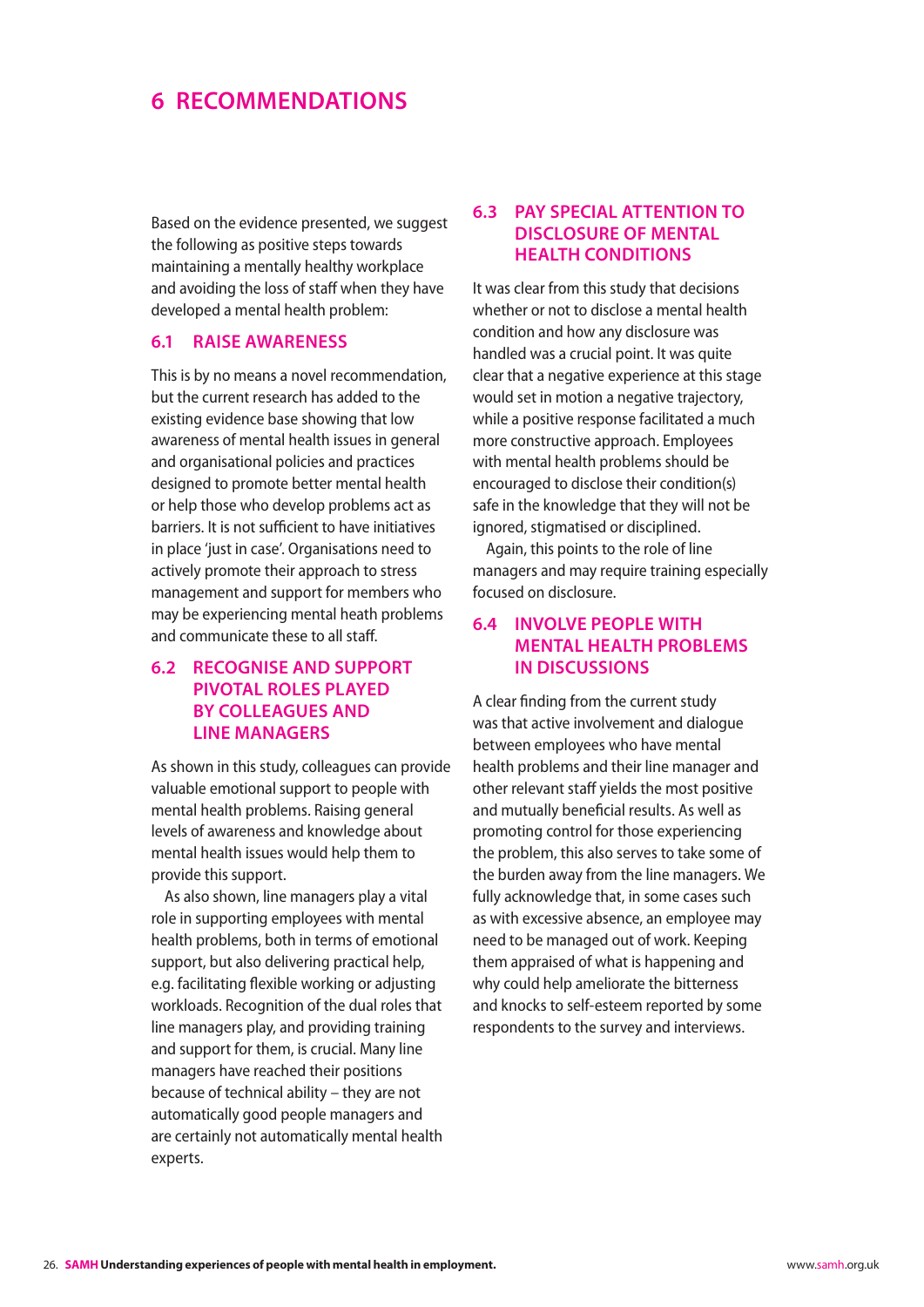### <span id="page-26-0"></span>**6 Recommendations**

Based on the evidence presented, we suggest the following as positive steps towards maintaining a mentally healthy workplace and avoiding the loss of staff when they have developed a mental health problem:

#### **6.1 Raise awareness**

This is by no means a novel recommendation, but the current research has added to the existing evidence base showing that low awareness of mental health issues in general and organisational policies and practices designed to promote better mental health or help those who develop problems act as barriers. It is not sufficient to have initiatives in place 'just in case'. Organisations need to actively promote their approach to stress management and support for members who may be experiencing mental heath problems and communicate these to all staff.

### **6.2 Recognise and support pivotal roles played by colleagues and line managers**

As shown in this study, colleagues can provide valuable emotional support to people with mental health problems. Raising general levels of awareness and knowledge about mental health issues would help them to provide this support.

As also shown, line managers play a vital role in supporting employees with mental health problems, both in terms of emotional support, but also delivering practical help, e.g. facilitating flexible working or adjusting workloads. Recognition of the dual roles that line managers play, and providing training and support for them, is crucial. Many line managers have reached their positions because of technical ability – they are not automatically good people managers and are certainly not automatically mental health experts.

#### **6.3 Pay special attention to disclosure of mental health conditions**

It was clear from this study that decisions whether or not to disclose a mental health condition and how any disclosure was handled was a crucial point. It was quite clear that a negative experience at this stage would set in motion a negative trajectory, while a positive response facilitated a much more constructive approach. Employees with mental health problems should be encouraged to disclose their condition(s) safe in the knowledge that they will not be ignored, stigmatised or disciplined.

Again, this points to the role of line managers and may require training especially focused on disclosure.

#### **6.4 Involve people with mental health problems in discussions**

A clear finding from the current study was that active involvement and dialogue between employees who have mental health problems and their line manager and other relevant staff yields the most positive and mutually beneficial results. As well as promoting control for those experiencing the problem, this also serves to take some of the burden away from the line managers. We fully acknowledge that, in some cases such as with excessive absence, an employee may need to be managed out of work. Keeping them appraised of what is happening and why could help ameliorate the bitterness and knocks to self-esteem reported by some respondents to the survey and interviews.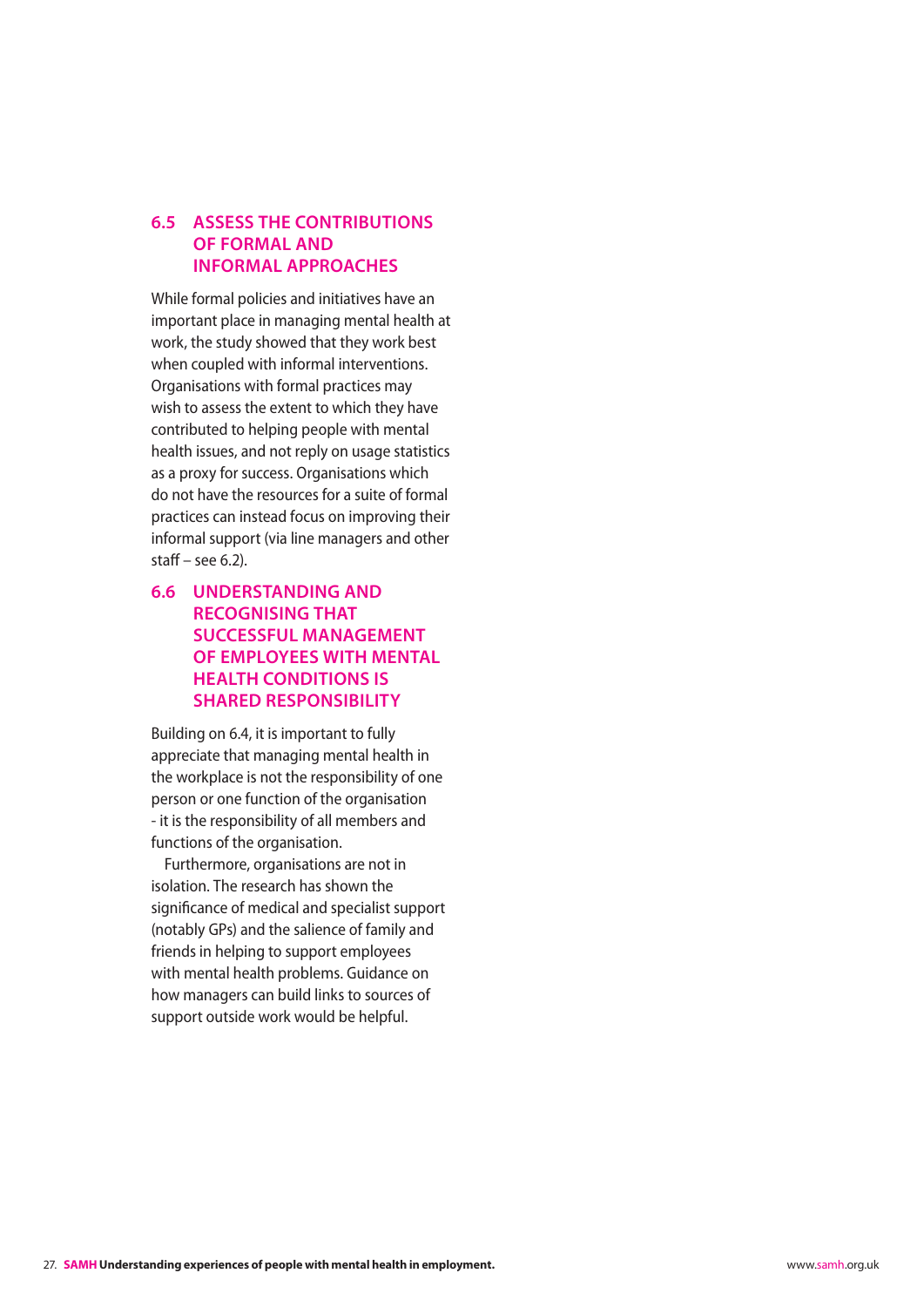#### <span id="page-27-0"></span>**6.5 Assess the contributions of formal and informal approaches**

While formal policies and initiatives have an important place in managing mental health at work, the study showed that they work best when coupled with informal interventions. Organisations with formal practices may wish to assess the extent to which they have contributed to helping people with mental health issues, and not reply on usage statistics as a proxy for success. Organisations which do not have the resources for a suite of formal practices can instead focus on improving their informal support (via line managers and other staff – see 6.2).

### **6.6 Understanding and recognising that successful management of employees with mental health conditions is shared responsibility**

Building on 6.4, it is important to fully appreciate that managing mental health in the workplace is not the responsibility of one person or one function of the organisation - it is the responsibility of all members and functions of the organisation.

Furthermore, organisations are not in isolation. The research has shown the significance of medical and specialist support (notably GPs) and the salience of family and friends in helping to support employees with mental health problems. Guidance on how managers can build links to sources of support outside work would be helpful.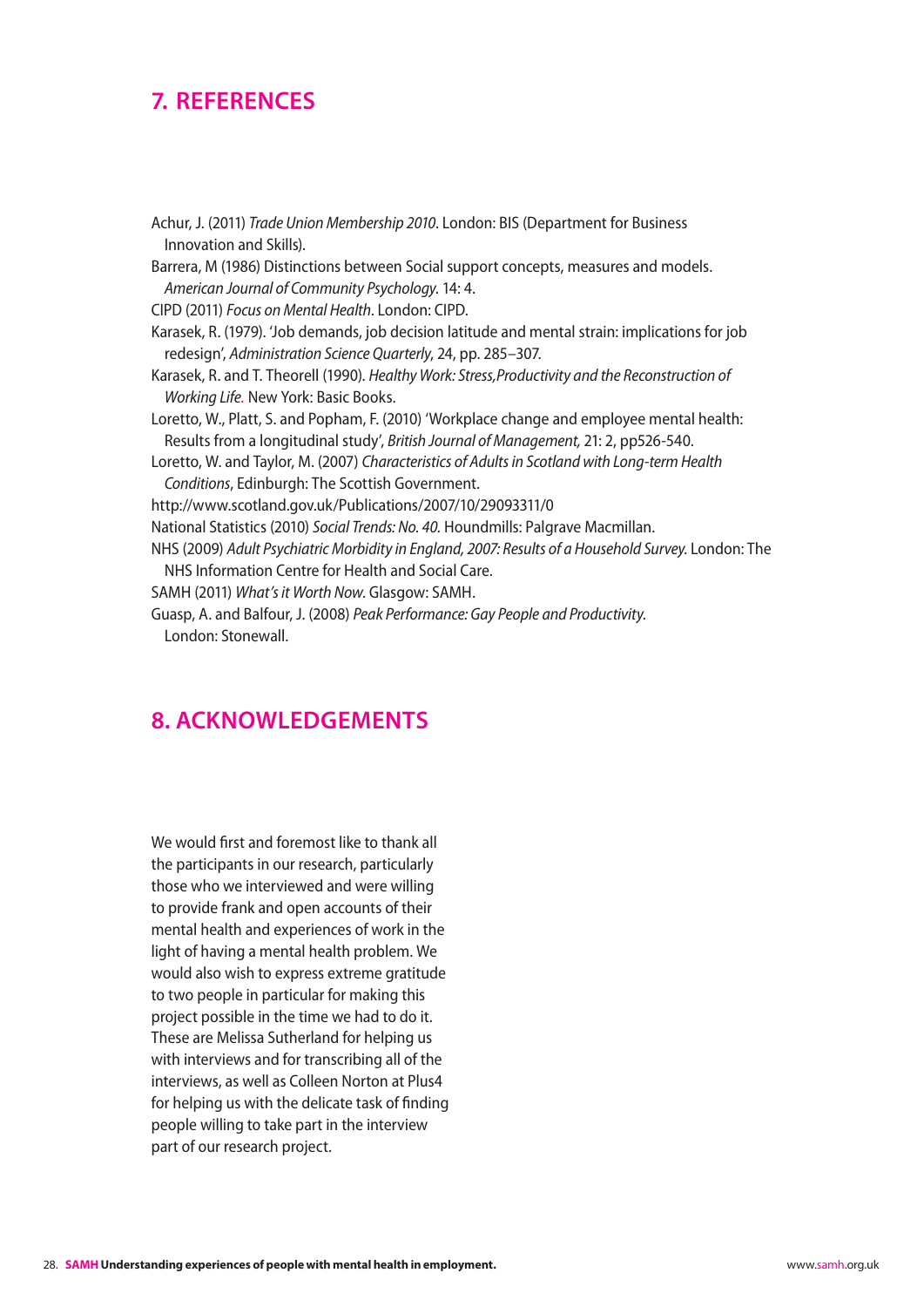## <span id="page-28-0"></span>**7. References**

Achur, J. (2011) *Trade Union Membership 2010*. London: BIS (Department for Business Innovation and Skills). Barrera, M (1986) Distinctions between Social support concepts, measures and models. *American Journal of Community Psychology*. 14: 4. CIPD (2011) *Focus on Mental Health*. London: CIPD. Karasek, R. (1979). 'Job demands, job decision latitude and mental strain: implications for job redesign', *Administration Science Quarterly*, 24, pp. 285–307. Karasek, R. and T. Theorell (1990). *Healthy Work: Stress,Productivity and the Reconstruction of Working Life.* New York: Basic Books. Loretto, W., Platt, S. and Popham, F. (2010) 'Workplace change and employee mental health: Results from a longitudinal study', *British Journal of Management,* 21: 2, pp526-540. Loretto, W. and Taylor, M. (2007) *Characteristics of Adults in Scotland with Long-term Health Conditions*, Edinburgh: The Scottish Government. <http://www.scotland.gov.uk/Publications/2007/10/29093311/0> National Statistics (2010) *Social Trends: No. 40.* Houndmills: Palgrave Macmillan. NHS (2009) *Adult Psychiatric Morbidity in England, 2007: Results of a Household Survey.* London: The NHS Information Centre for Health and Social Care. SAMH (2011) *What's it Worth Now*. Glasgow: SAMH. Guasp, A. and Balfour, J. (2008) *Peak Performance: Gay People and Productivity*. London: Stonewall.

### **8. Acknowledgements**

We would first and foremost like to thank all the participants in our research, particularly those who we interviewed and were willing to provide frank and open accounts of their mental health and experiences of work in the light of having a mental health problem. We would also wish to express extreme gratitude to two people in particular for making this project possible in the time we had to do it. These are Melissa Sutherland for helping us with interviews and for transcribing all of the interviews, as well as Colleen Norton at Plus4 for helping us with the delicate task of finding people willing to take part in the interview part of our research project.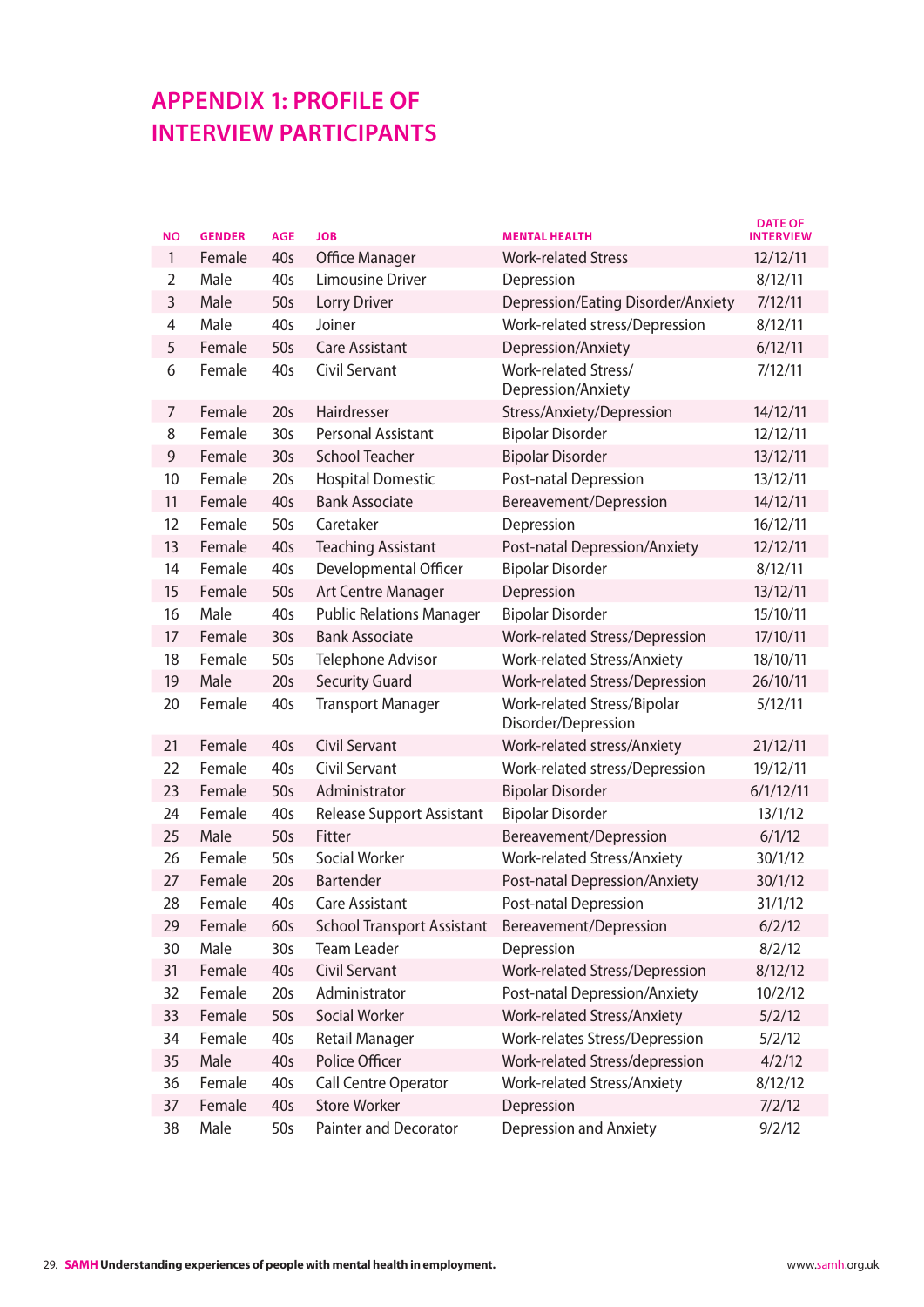# <span id="page-29-0"></span>**Appendix 1: Profile of Interview Participants**

| ΝO             | <b>GENDER</b> | <b>AGE</b>      | <b>JOB</b>                        | <b>MENTAL HEALTH</b>                               | <b>DATE OF</b><br><b>INTERVIEW</b> |
|----------------|---------------|-----------------|-----------------------------------|----------------------------------------------------|------------------------------------|
| 1              | Female        | 40s             | <b>Office Manager</b>             | <b>Work-related Stress</b>                         | 12/12/11                           |
| $\overline{2}$ | Male          | 40 <sub>5</sub> | <b>Limousine Driver</b>           | Depression                                         | 8/12/11                            |
| 3              | Male          | 50s             | Lorry Driver                      | Depression/Eating Disorder/Anxiety                 | 7/12/11                            |
| 4              | Male          | 40s             | Joiner                            | Work-related stress/Depression                     | 8/12/11                            |
| 5              | Female        | 50 <sub>s</sub> | <b>Care Assistant</b>             | Depression/Anxiety                                 | 6/12/11                            |
| 6              | Female        | 40s             | Civil Servant                     | <b>Work-related Stress/</b><br>Depression/Anxiety  | 7/12/11                            |
| 7              | Female        | 20 <sub>s</sub> | Hairdresser                       | Stress/Anxiety/Depression                          | 14/12/11                           |
| 8              | Female        | 30 <sub>s</sub> | <b>Personal Assistant</b>         | <b>Bipolar Disorder</b>                            | 12/12/11                           |
| 9              | Female        | 30 <sub>s</sub> | <b>School Teacher</b>             | <b>Bipolar Disorder</b>                            | 13/12/11                           |
| 10             | Female        | 20s             | <b>Hospital Domestic</b>          | Post-natal Depression                              | 13/12/11                           |
| 11             | Female        | 40s             | <b>Bank Associate</b>             | Bereavement/Depression                             | 14/12/11                           |
| 12             | Female        | 50s             | Caretaker                         | Depression                                         | 16/12/11                           |
| 13             | Female        | 40 <sub>s</sub> | <b>Teaching Assistant</b>         | Post-natal Depression/Anxiety                      | 12/12/11                           |
| 14             | Female        | 40s             | Developmental Officer             | <b>Bipolar Disorder</b>                            | 8/12/11                            |
| 15             | Female        | 50s             | Art Centre Manager                | Depression                                         | 13/12/11                           |
| 16             | Male          | 40s             | <b>Public Relations Manager</b>   | <b>Bipolar Disorder</b>                            | 15/10/11                           |
| 17             | Female        | 30 <sub>s</sub> | <b>Bank Associate</b>             | Work-related Stress/Depression                     | 17/10/11                           |
| 18             | Female        | 50s             | Telephone Advisor                 | <b>Work-related Stress/Anxiety</b>                 | 18/10/11                           |
| 19             | Male          | 20s             | <b>Security Guard</b>             | Work-related Stress/Depression                     | 26/10/11                           |
| 20             | Female        | 40s             | <b>Transport Manager</b>          | Work-related Stress/Bipolar<br>Disorder/Depression | 5/12/11                            |
| 21             | Female        | 40 <sub>s</sub> | <b>Civil Servant</b>              | Work-related stress/Anxiety                        | 21/12/11                           |
| 22             | Female        | 40s             | <b>Civil Servant</b>              | Work-related stress/Depression                     | 19/12/11                           |
| 23             | Female        | 50s             | Administrator                     | <b>Bipolar Disorder</b>                            | 6/1/12/11                          |
| 24             | Female        | 40s             | <b>Release Support Assistant</b>  | <b>Bipolar Disorder</b>                            | 13/1/12                            |
| 25             | Male          | 50s             | Fitter                            | Bereavement/Depression                             | 6/1/12                             |
| 26             | Female        | 50s             | <b>Social Worker</b>              | <b>Work-related Stress/Anxiety</b>                 | 30/1/12                            |
| 27             | Female        | 20s             | Bartender                         | Post-natal Depression/Anxiety                      | 30/1/12                            |
| 28             | Female        | 40s             | <b>Care Assistant</b>             | Post-natal Depression                              | 31/1/12                            |
| 29             | Female        | 60s             | <b>School Transport Assistant</b> | Bereavement/Depression                             | 6/2/12                             |
| 30             | Male          | 30s             | <b>Team Leader</b>                | Depression                                         | 8/2/12                             |
| 31             | Female        | 40s             | <b>Civil Servant</b>              | Work-related Stress/Depression                     | 8/12/12                            |
| 32             | Female        | 20s             | Administrator                     | Post-natal Depression/Anxiety                      | 10/2/12                            |
| 33             | Female        | 50s             | Social Worker                     | <b>Work-related Stress/Anxiety</b>                 | 5/2/12                             |
| 34             | Female        | 40s             | <b>Retail Manager</b>             | Work-relates Stress/Depression                     | 5/2/12                             |
| 35             | Male          | 40s             | Police Officer                    | Work-related Stress/depression                     | 4/2/12                             |
| 36             | Female        | 40s             | <b>Call Centre Operator</b>       | <b>Work-related Stress/Anxiety</b>                 | 8/12/12                            |
| 37             | Female        | 40s             | <b>Store Worker</b>               | Depression                                         | 7/2/12                             |
| 38             | Male          | 50s             | Painter and Decorator             | Depression and Anxiety                             | 9/2/12                             |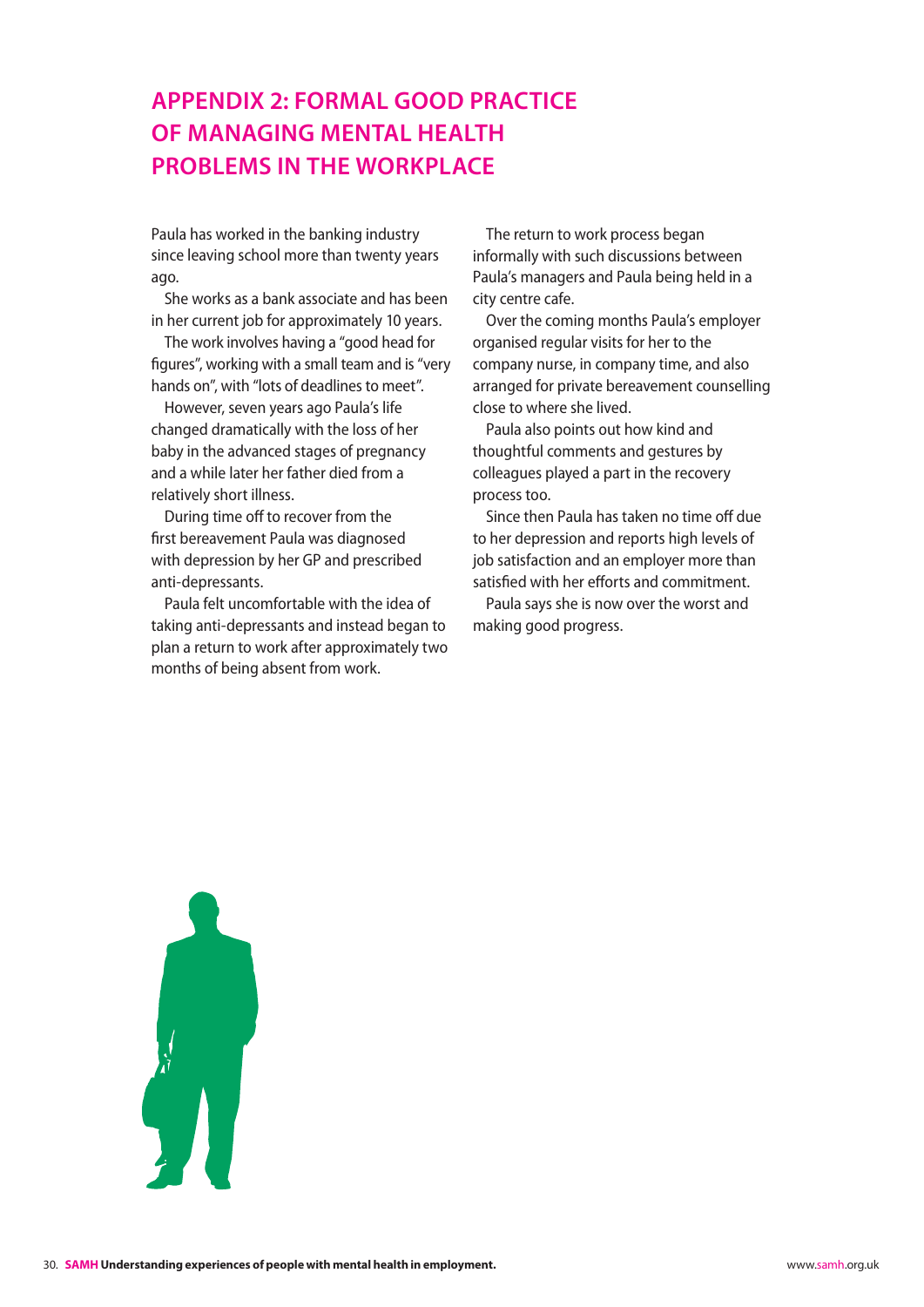# <span id="page-30-0"></span>**Appendix 2: Formal Good Practice of Managing Mental Health Problems in the Workplace**

Paula has worked in the banking industry since leaving school more than twenty years ago.

She works as a bank associate and has been in her current job for approximately 10 years.

The work involves having a "good head for figures", working with a small team and is "very hands on", with "lots of deadlines to meet".

However, seven years ago Paula's life changed dramatically with the loss of her baby in the advanced stages of pregnancy and a while later her father died from a relatively short illness.

During time off to recover from the first bereavement Paula was diagnosed with depression by her GP and prescribed anti-depressants.

Paula felt uncomfortable with the idea of taking anti-depressants and instead began to plan a return to work after approximately two months of being absent from work.

The return to work process began informally with such discussions between Paula's managers and Paula being held in a city centre cafe.

Over the coming months Paula's employer organised regular visits for her to the company nurse, in company time, and also arranged for private bereavement counselling close to where she lived.

Paula also points out how kind and thoughtful comments and gestures by colleagues played a part in the recovery process too.

Since then Paula has taken no time off due to her depression and reports high levels of job satisfaction and an employer more than satisfied with her efforts and commitment.

Paula says she is now over the worst and making good progress.

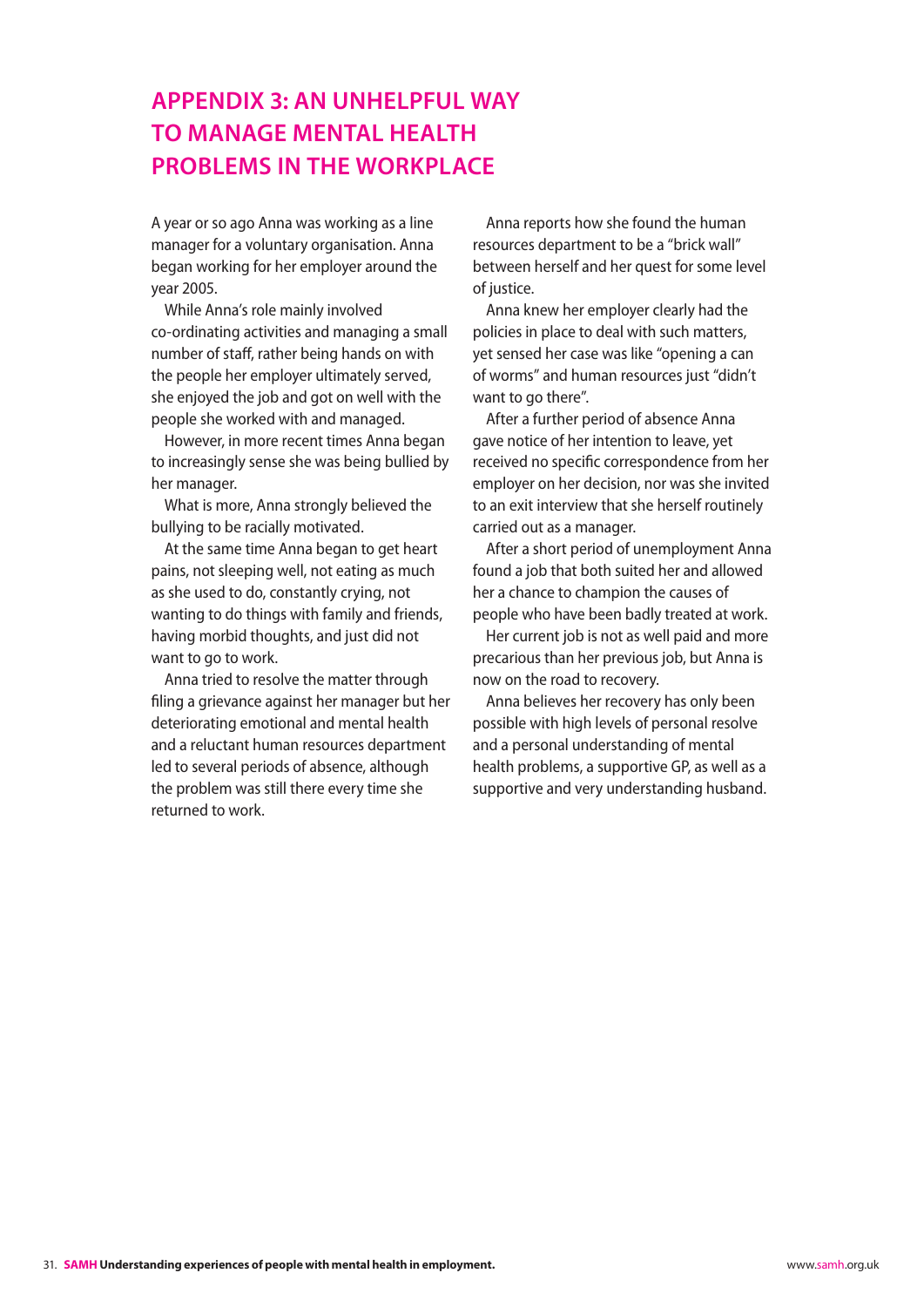# <span id="page-31-0"></span>**Appendix 3: An Unhelpful Way to Manage Mental Health Problems in the Workplace**

A year or so ago Anna was working as a line manager for a voluntary organisation. Anna began working for her employer around the year 2005.

While Anna's role mainly involved co-ordinating activities and managing a small number of staff, rather being hands on with the people her employer ultimately served, she enjoyed the job and got on well with the people she worked with and managed.

However, in more recent times Anna began to increasingly sense she was being bullied by her manager.

What is more, Anna strongly believed the bullying to be racially motivated.

At the same time Anna began to get heart pains, not sleeping well, not eating as much as she used to do, constantly crying, not wanting to do things with family and friends, having morbid thoughts, and just did not want to go to work.

Anna tried to resolve the matter through filing a grievance against her manager but her deteriorating emotional and mental health and a reluctant human resources department led to several periods of absence, although the problem was still there every time she returned to work.

Anna reports how she found the human resources department to be a "brick wall" between herself and her quest for some level of justice.

Anna knew her employer clearly had the policies in place to deal with such matters, yet sensed her case was like "opening a can of worms" and human resources just "didn't want to go there".

After a further period of absence Anna gave notice of her intention to leave, yet received no specific correspondence from her employer on her decision, nor was she invited to an exit interview that she herself routinely carried out as a manager.

After a short period of unemployment Anna found a job that both suited her and allowed her a chance to champion the causes of people who have been badly treated at work.

Her current job is not as well paid and more precarious than her previous job, but Anna is now on the road to recovery.

Anna believes her recovery has only been possible with high levels of personal resolve and a personal understanding of mental health problems, a supportive GP, as well as a supportive and very understanding husband.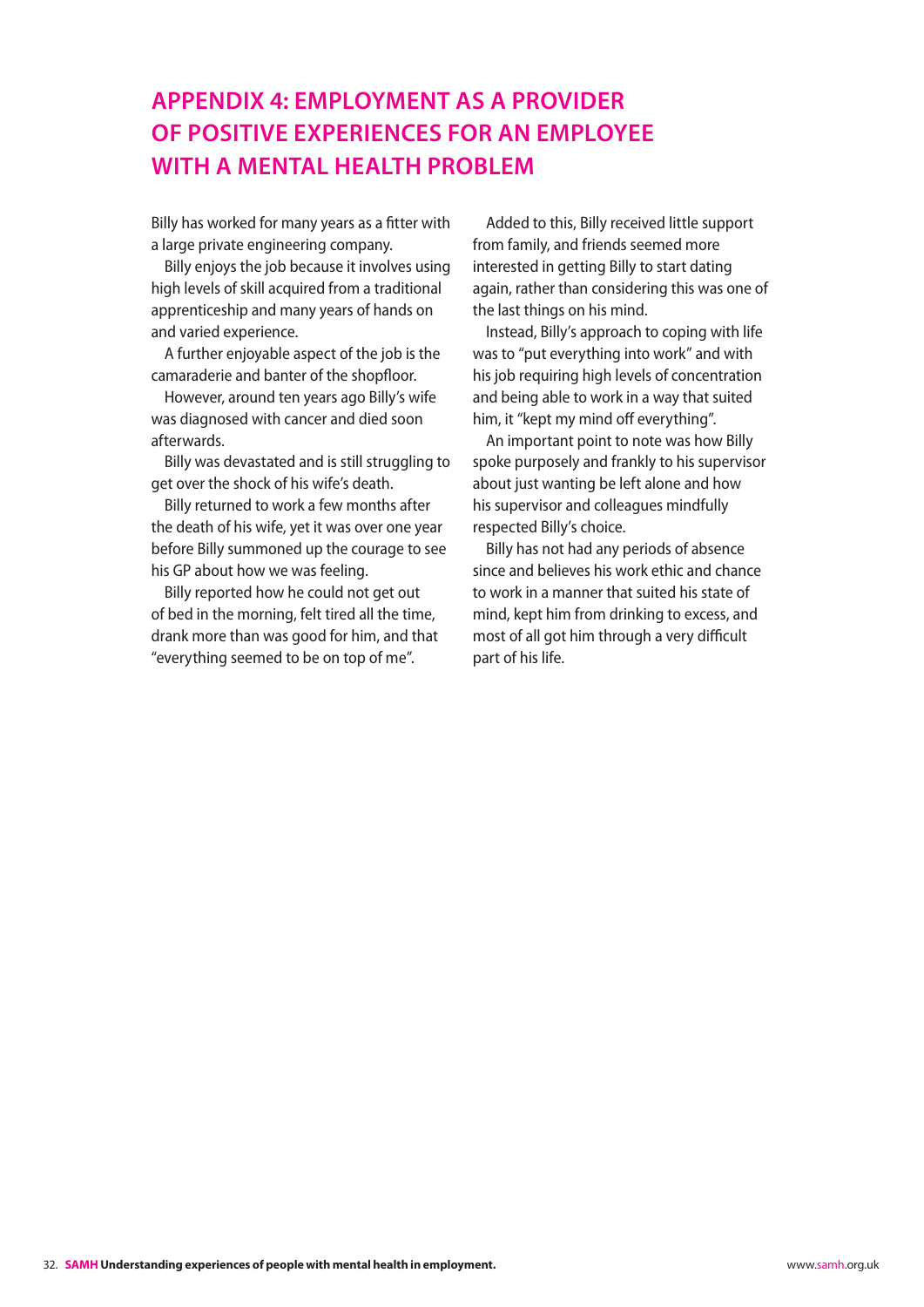# <span id="page-32-0"></span>**Appendix 4: Employment as a Provider of Positive Experiences for an Employee With a Mental Health Problem**

Billy has worked for many years as a fitter with a large private engineering company.

Billy enjoys the job because it involves using high levels of skill acquired from a traditional apprenticeship and many years of hands on and varied experience.

A further enjoyable aspect of the job is the camaraderie and banter of the shopfloor.

However, around ten years ago Billy's wife was diagnosed with cancer and died soon afterwards.

Billy was devastated and is still struggling to get over the shock of his wife's death.

Billy returned to work a few months after the death of his wife, yet it was over one year before Billy summoned up the courage to see his GP about how we was feeling.

Billy reported how he could not get out of bed in the morning, felt tired all the time, drank more than was good for him, and that "everything seemed to be on top of me".

Added to this, Billy received little support from family, and friends seemed more interested in getting Billy to start dating again, rather than considering this was one of the last things on his mind.

Instead, Billy's approach to coping with life was to "put everything into work" and with his job requiring high levels of concentration and being able to work in a way that suited him, it "kept my mind off everything".

An important point to note was how Billy spoke purposely and frankly to his supervisor about just wanting be left alone and how his supervisor and colleagues mindfully respected Billy's choice.

Billy has not had any periods of absence since and believes his work ethic and chance to work in a manner that suited his state of mind, kept him from drinking to excess, and most of all got him through a very difficult part of his life.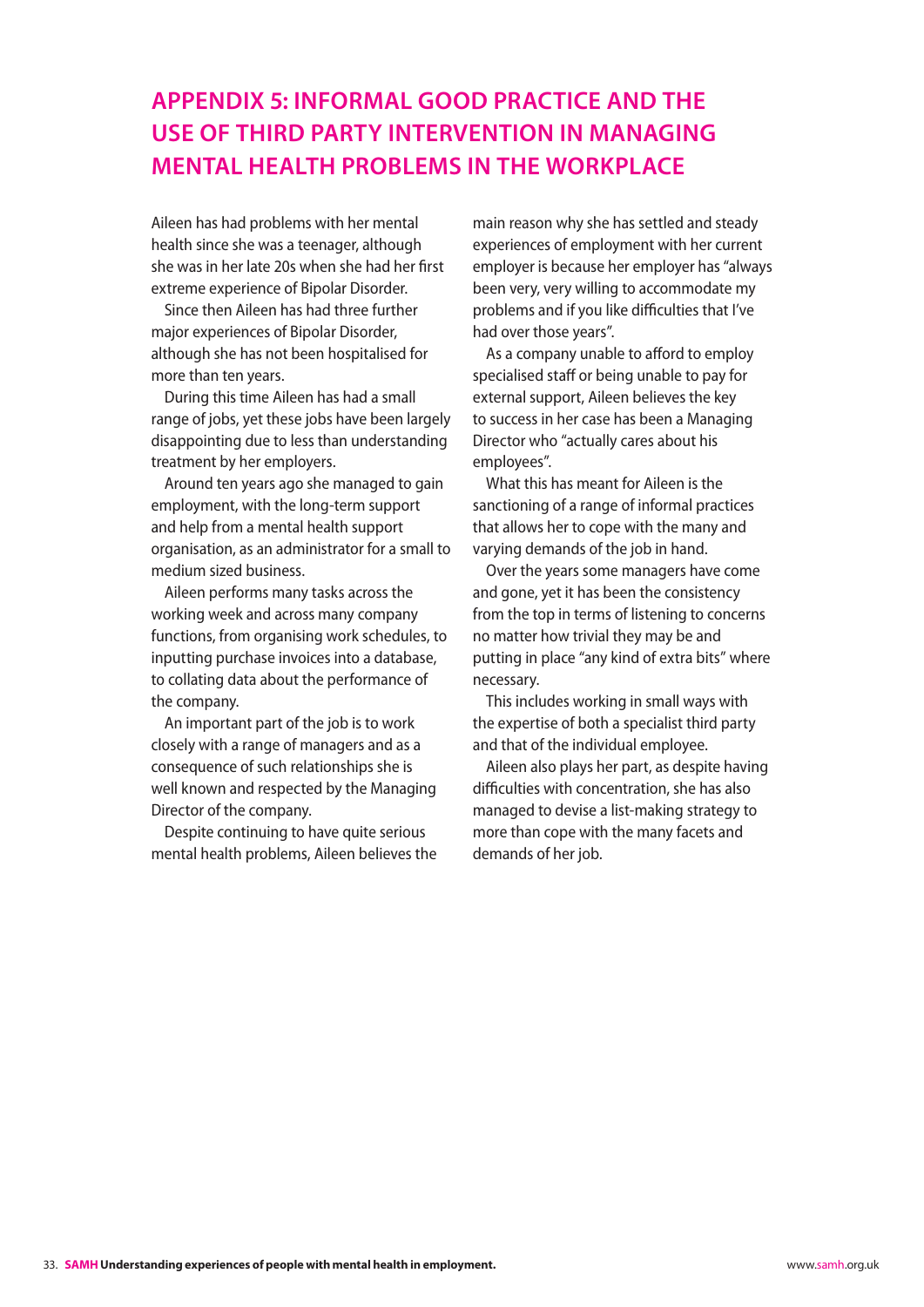# <span id="page-33-0"></span>**Appendix 5: Informal Good Practice and the use of Third Party Intervention in Managing Mental Health Problems in the Workplace**

Aileen has had problems with her mental health since she was a teenager, although she was in her late 20s when she had her first extreme experience of Bipolar Disorder.

Since then Aileen has had three further major experiences of Bipolar Disorder, although she has not been hospitalised for more than ten years.

During this time Aileen has had a small range of jobs, yet these jobs have been largely disappointing due to less than understanding treatment by her employers.

Around ten years ago she managed to gain employment, with the long-term support and help from a mental health support organisation, as an administrator for a small to medium sized business.

Aileen performs many tasks across the working week and across many company functions, from organising work schedules, to inputting purchase invoices into a database, to collating data about the performance of the company.

An important part of the job is to work closely with a range of managers and as a consequence of such relationships she is well known and respected by the Managing Director of the company.

Despite continuing to have quite serious mental health problems, Aileen believes the main reason why she has settled and steady experiences of employment with her current employer is because her employer has "always been very, very willing to accommodate my problems and if you like difficulties that I've had over those years".

As a company unable to afford to employ specialised staff or being unable to pay for external support, Aileen believes the key to success in her case has been a Managing Director who "actually cares about his employees".

What this has meant for Aileen is the sanctioning of a range of informal practices that allows her to cope with the many and varying demands of the job in hand.

Over the years some managers have come and gone, yet it has been the consistency from the top in terms of listening to concerns no matter how trivial they may be and putting in place "any kind of extra bits" where necessary.

This includes working in small ways with the expertise of both a specialist third party and that of the individual employee.

Aileen also plays her part, as despite having difficulties with concentration, she has also managed to devise a list-making strategy to more than cope with the many facets and demands of her job.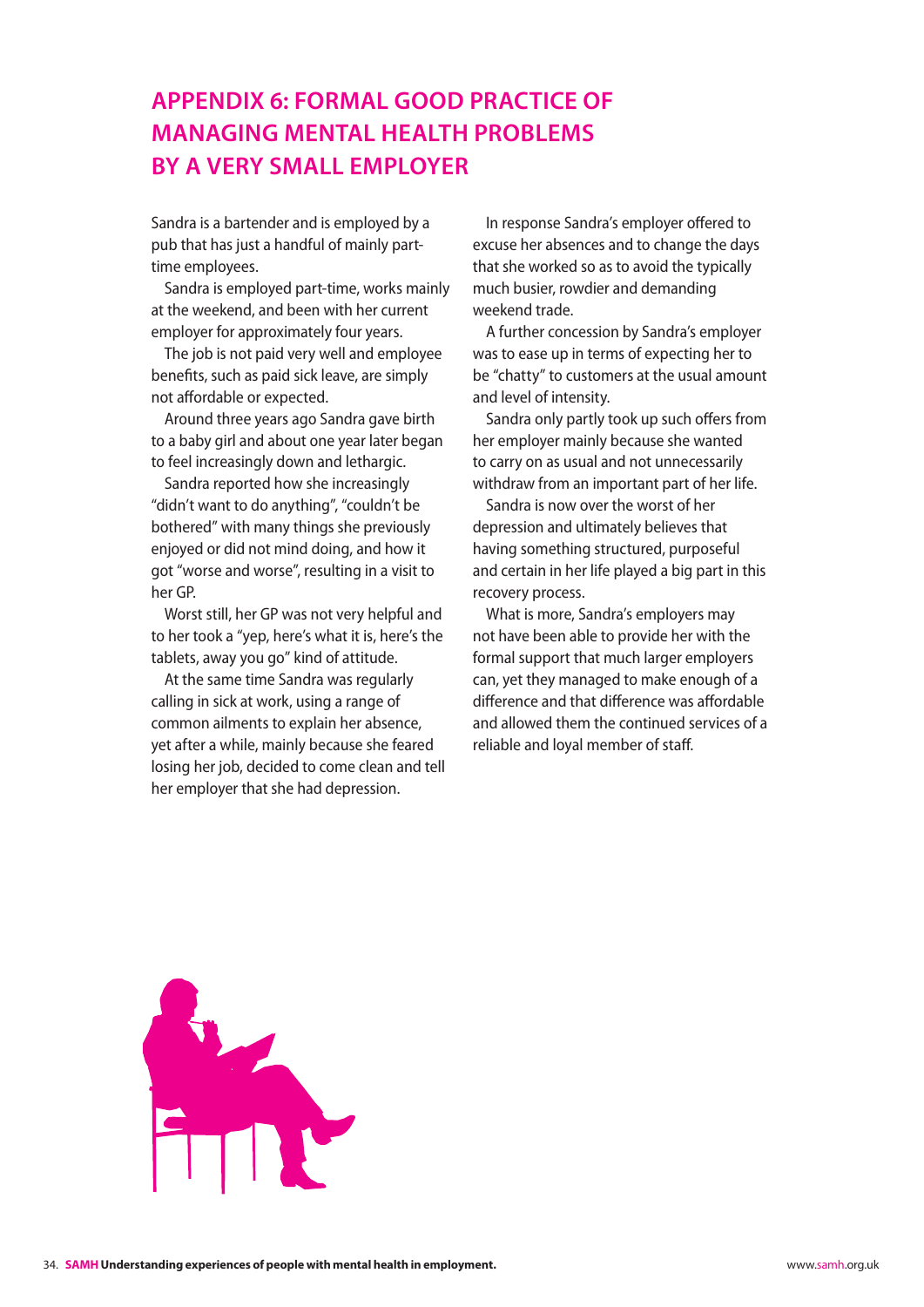# <span id="page-34-0"></span>**Appendix 6: Formal Good Practice of Managing Mental Health Problems by a Very Small Employer**

Sandra is a bartender and is employed by a pub that has just a handful of mainly parttime employees.

Sandra is employed part-time, works mainly at the weekend, and been with her current employer for approximately four years.

The job is not paid very well and employee benefits, such as paid sick leave, are simply not affordable or expected.

Around three years ago Sandra gave birth to a baby girl and about one year later began to feel increasingly down and lethargic.

Sandra reported how she increasingly "didn't want to do anything", "couldn't be bothered" with many things she previously enjoyed or did not mind doing, and how it got "worse and worse", resulting in a visit to her GP.

Worst still, her GP was not very helpful and to her took a "yep, here's what it is, here's the tablets, away you go" kind of attitude.

At the same time Sandra was regularly calling in sick at work, using a range of common ailments to explain her absence, yet after a while, mainly because she feared losing her job, decided to come clean and tell her employer that she had depression.

In response Sandra's employer offered to excuse her absences and to change the days that she worked so as to avoid the typically much busier, rowdier and demanding weekend trade.

A further concession by Sandra's employer was to ease up in terms of expecting her to be "chatty" to customers at the usual amount and level of intensity.

Sandra only partly took up such offers from her employer mainly because she wanted to carry on as usual and not unnecessarily withdraw from an important part of her life.

Sandra is now over the worst of her depression and ultimately believes that having something structured, purposeful and certain in her life played a big part in this recovery process.

What is more, Sandra's employers may not have been able to provide her with the formal support that much larger employers can, yet they managed to make enough of a difference and that difference was affordable and allowed them the continued services of a reliable and loyal member of staff.

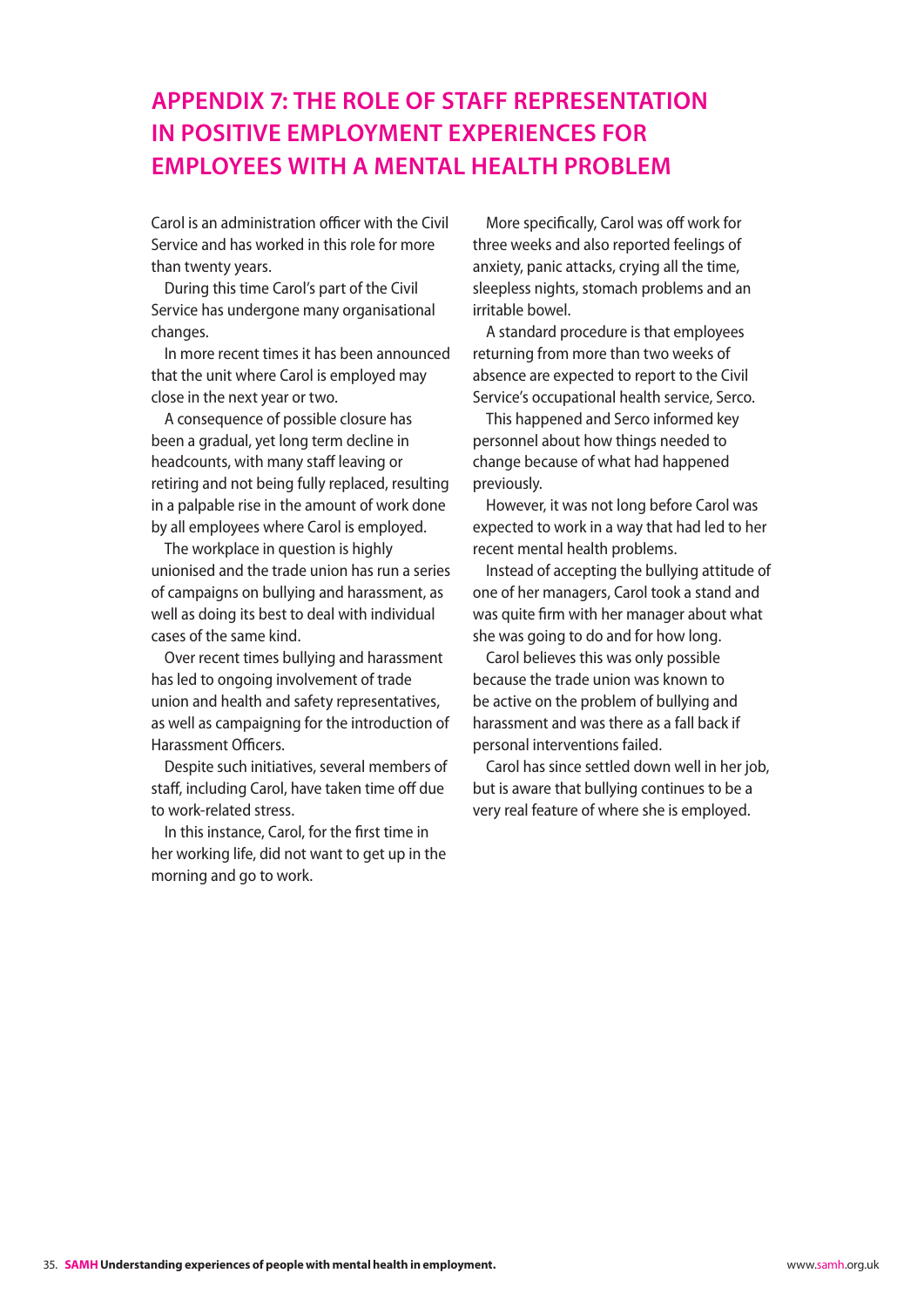# <span id="page-35-0"></span>**Appendix 7: The Role of Staff Representation in Positive Employment Experiences for Employees with a Mental Health Problem**

Carol is an administration officer with the Civil Service and has worked in this role for more than twenty years.

During this time Carol's part of the Civil Service has undergone many organisational changes.

In more recent times it has been announced that the unit where Carol is employed may close in the next year or two.

A consequence of possible closure has been a gradual, yet long term decline in headcounts, with many staff leaving or retiring and not being fully replaced, resulting in a palpable rise in the amount of work done by all employees where Carol is employed.

The workplace in question is highly unionised and the trade union has run a series of campaigns on bullying and harassment, as well as doing its best to deal with individual cases of the same kind.

Over recent times bullying and harassment has led to ongoing involvement of trade union and health and safety representatives, as well as campaigning for the introduction of Harassment Officers.

Despite such initiatives, several members of staff, including Carol, have taken time off due to work-related stress.

In this instance, Carol, for the first time in her working life, did not want to get up in the morning and go to work.

More specifically, Carol was off work for three weeks and also reported feelings of anxiety, panic attacks, crying all the time, sleepless nights, stomach problems and an irritable bowel.

A standard procedure is that employees returning from more than two weeks of absence are expected to report to the Civil Service's occupational health service, Serco.

This happened and Serco informed key personnel about how things needed to change because of what had happened previously.

However, it was not long before Carol was expected to work in a way that had led to her recent mental health problems.

Instead of accepting the bullying attitude of one of her managers, Carol took a stand and was quite firm with her manager about what she was going to do and for how long.

Carol believes this was only possible because the trade union was known to be active on the problem of bullying and harassment and was there as a fall back if personal interventions failed.

Carol has since settled down well in her job, but is aware that bullying continues to be a very real feature of where she is employed.